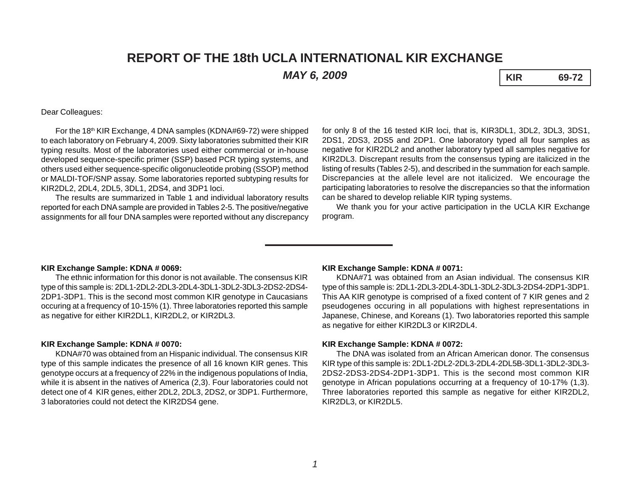# **REPORT OF THE 18th UCLA INTERNATIONAL KIR EXCHANGE**

*MAY 6, 2009* **KIR 69-72**

Dear Colleagues:

For the 18th KIR Exchange, 4 DNA samples (KDNA#69-72) were shipped to each laboratory on February 4, 2009. Sixty laboratories submitted their KIR typing results. Most of the laboratories used either commercial or in-house developed sequence-specific primer (SSP) based PCR typing systems, and others used either sequence-specific oligonucleotide probing (SSOP) method or MALDI-TOF/SNP assay. Some laboratories reported subtyping results for KIR2DL2, 2DL4, 2DL5, 3DL1, 2DS4, and 3DP1 loci.

The results are summarized in Table 1 and individual laboratory results reported for each DNA sample are provided in Tables 2-5. The positive/negative assignments for all four DNA samples were reported without any discrepancy

for only 8 of the 16 tested KIR loci, that is, KIR3DL1, 3DL2, 3DL3, 3DS1, 2DS1, 2DS3, 2DS5 and 2DP1. One laboratory typed all four samples as negative for KIR2DL2 and another laboratory typed all samples negative for KIR2DL3. Discrepant results from the consensus typing are italicized in the listing of results (Tables 2-5), and described in the summation for each sample. Discrepancies at the allele level are not italicized. We encourage the participating laboratories to resolve the discrepancies so that the information can be shared to develop reliable KIR typing systems.

We thank you for your active participation in the UCLA KIR Exchange program.

### **KIR Exchange Sample: KDNA # 0069:**

The ethnic information for this donor is not available. The consensus KIR type of this sample is: 2DL1-2DL2-2DL3-2DL4-3DL1-3DL2-3DL3-2DS2-2DS4- 2DP1-3DP1. This is the second most common KIR genotype in Caucasians occuring at a frequency of 10-15% (1). Three laboratories reported this sample as negative for either KIR2DL1, KIR2DL2, or KIR2DL3.

## **KIR Exchange Sample: KDNA # 0070:**

KDNA#70 was obtained from an Hispanic individual. The consensus KIR type of this sample indicates the presence of all 16 known KIR genes. This genotype occurs at a frequency of 22% in the indigenous populations of India, while it is absent in the natives of America (2,3). Four laboratories could not detect one of 4 KIR genes, either 2DL2, 2DL3, 2DS2, or 3DP1. Furthermore, 3 laboratories could not detect the KIR2DS4 gene.

#### **KIR Exchange Sample: KDNA # 0071:**

KDNA#71 was obtained from an Asian individual. The consensus KIR type of this sample is: 2DL1-2DL3-2DL4-3DL1-3DL2-3DL3-2DS4-2DP1-3DP1. This AA KIR genotype is comprised of a fixed content of 7 KIR genes and 2 pseudogenes occuring in all populations with highest representations in Japanese, Chinese, and Koreans (1). Two laboratories reported this sample as negative for either KIR2DL3 or KIR2DL4.

### **KIR Exchange Sample: KDNA # 0072:**

The DNA was isolated from an African American donor. The consensus KIR type of this sample is: 2DL1-2DL2-2DL3-2DL4-2DL5B-3DL1-3DL2-3DL3- 2DS2-2DS3-2DS4-2DP1-3DP1. This is the second most common KIR genotype in African populations occurring at a frequency of 10-17% (1,3). Three laboratories reported this sample as negative for either KIR2DL2, KIR2DL3, or KIR2DL5.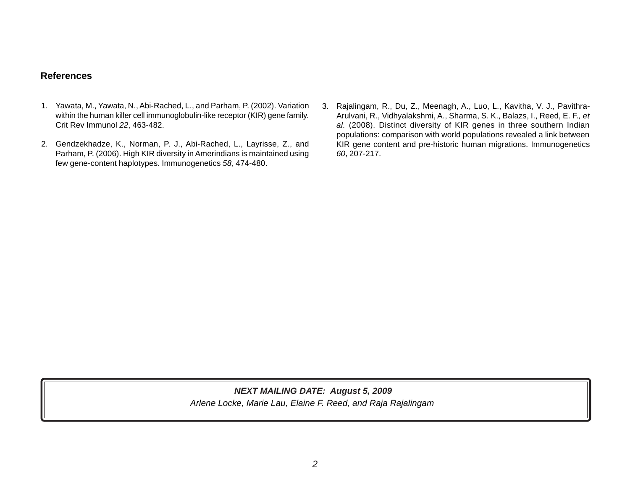## **References**

- 1. Yawata, M., Yawata, N., Abi-Rached, L., and Parham, P. (2002). Variation within the human killer cell immunoglobulin-like receptor (KIR) gene family. Crit Rev Immunol *22*, 463-482.
- 2. Gendzekhadze, K., Norman, P. J., Abi-Rached, L., Layrisse, Z., and Parham, P. (2006). High KIR diversity in Amerindians is maintained using few gene-content haplotypes. Immunogenetics *58*, 474-480.
- 3. Rajalingam, R., Du, Z., Meenagh, A., Luo, L., Kavitha, V. J., Pavithra-Arulvani, R., Vidhyalakshmi, A., Sharma, S. K., Balazs, I., Reed, E. F.*, et al.* (2008). Distinct diversity of KIR genes in three southern Indian populations: comparison with world populations revealed a link between KIR gene content and pre-historic human migrations. Immunogenetics *60*, 207-217.

## *Arlene Locke, Marie Lau, Elaine F. Reed, and Raja Rajalingam NEXT MAILING DATE: August 5, 2009*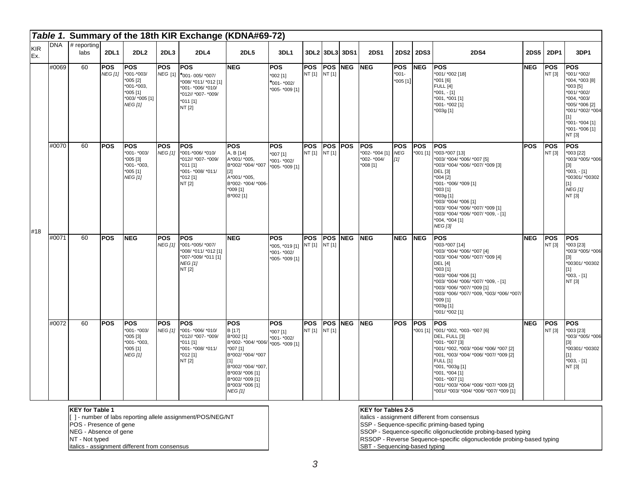|                   |       |                           |                              |                                                                                                       |                              | Table 1. Summary of the 18th KIR Exchange (KDNA#69-72)                                                                           |                                                                                                                                                                                                   |                                                                      |                             |                      |            |                                                          |                                     |                          |                                                                                                                                                                                                                                                                                                                                |            |                      |                                                                                                                                                                                      |
|-------------------|-------|---------------------------|------------------------------|-------------------------------------------------------------------------------------------------------|------------------------------|----------------------------------------------------------------------------------------------------------------------------------|---------------------------------------------------------------------------------------------------------------------------------------------------------------------------------------------------|----------------------------------------------------------------------|-----------------------------|----------------------|------------|----------------------------------------------------------|-------------------------------------|--------------------------|--------------------------------------------------------------------------------------------------------------------------------------------------------------------------------------------------------------------------------------------------------------------------------------------------------------------------------|------------|----------------------|--------------------------------------------------------------------------------------------------------------------------------------------------------------------------------------|
| <b>KIR</b><br>Ex. |       | $DNA$ # reporting<br>labs | <b>2DL1</b>                  | 2DL2                                                                                                  | 2DL3                         | <b>2DL4</b>                                                                                                                      | <b>2DL5</b>                                                                                                                                                                                       | 3DL1                                                                 | 3DL2 3DL3                   |                      | 3DS1       | <b>2DS1</b>                                              |                                     | 2DS2 2DS3                | <b>2DS4</b>                                                                                                                                                                                                                                                                                                                    | 2DS5       | <b>2DP1</b>          | 3DP1                                                                                                                                                                                 |
|                   | #0069 | 60                        | <b>POS</b><br><b>NEG [1]</b> | <b>IPOS</b><br>*001-*003/<br>$005$ [2]<br>$*001 - *003$<br>005[1]<br>*003/ *005 [1]<br><b>NEG [1]</b> | <b>POS</b>                   | <b>POS</b><br>NEG [1] *001-005/ *007/<br>*008/ *011/ *012 [1]<br>*001- *006/ *010/<br>*012// *007- *009/<br>$*011$ [1]<br>NT [2] | <b>NEG</b>                                                                                                                                                                                        | <b>POS</b><br>$*002$ [1]<br>*001- *002/<br>*005- *009 [1]            | <b>POS</b><br>NT [1] NT [1] | <b>POS</b>           | <b>NEG</b> | <b>INEG</b>                                              | <b>POS</b><br>$*001-$<br>$*005$ [1] | <b>NEG</b>               | <b>POS</b><br>*001/ *002 [18]<br>*001 [6]<br><b>FULL</b> [4]<br>$*001, -[1]$<br>*001, *001 [1]<br>*001-*002 [1]<br>*003g [1]                                                                                                                                                                                                   | <b>NEG</b> | <b>POS</b><br>NT [3] | <b>POS</b><br>*001/ *002/<br>*004, *003 [8]<br>$*003$ [5]<br>*001/ *002/<br>*004, *003/<br>*005/ *006 [2]<br>*001/ *002/ *004<br>$[1]$<br>*001- *004 [1]<br>*001- *006 [1]<br>NT [3] |
| #18               | #0070 | 60                        | <b>POS</b>                   | <b>POS</b><br>*001- *003/<br>$*005[3]$<br>$*001 - *003,$<br>$*005$ [1]<br><b>NEG [1]</b>              | <b>POS</b><br><b>NEG [1]</b> | lPOS<br>*001-*006/ *010/<br>*012// *007- *009/<br>$*011$ [1]<br>*001- *008/ *011/<br>$*012$ [1]<br>NT [2]                        | <b>POS</b><br>A, B [14]<br>A*001/*005,<br>B*002/ *004/ *007<br>$[2]$<br>A*001/*005,<br>B*002- *004/ *006-<br>*009 [1]<br>B*002 [1]                                                                | <b>POS</b><br>*007 [1]<br>*001- *002/<br>*005- *009 [1]              | <b>POS</b><br>NT [1] NT [1] | <b>POS POS</b>       |            | lpos.<br>*002- *004 [1] NEG<br>*002- *004/<br>$*008$ [1] | <b>POS</b><br>$[1]$                 | <b>POS</b><br>$*001$ [1] | POS<br>*003-*007 [13]<br>*003/ *004/ *006/ *007 [5]<br>*003/ *004/ *006/ *007/ *009 [3]<br><b>DEL</b> [3]<br>*004 [2]<br>*001- *006/ *009 [1]<br>*003 [1]<br>*003g [1]<br>*003/ *004/ *006 [1]<br>*003/ *004/ *006/ *007/ *009 [1]<br>*003/ *004/ *006/ *007/ *009, - [1]<br>*004, *004 [1]<br><b>NEG</b> [3]                  | <b>POS</b> | <b>POS</b><br>NT [3] | <b>POS</b><br>*003 [22]<br>*003/ *005/ *006<br>$[3]$<br>$*003, -[1]$<br>*00301/ *00302<br>[1]<br><b>NEG [1]</b><br>NT [3]                                                            |
|                   | #0071 | 60                        | <b>POS</b>                   | <b>NEG</b>                                                                                            | <b>POS</b><br>NEG [1]        | <b>POS</b><br>*001-*005/ *007/<br>*008/ *011/ *012 [1]<br>*007-*009/ *011 [1]<br><b>NEG</b> [1]<br>NT [2]                        | <b>NEG</b>                                                                                                                                                                                        | <b>POS</b><br>*005, *019 [1] NT [1]<br>*001- *002/<br>*005- *009 [1] | <b>POS</b>                  | <b>POS</b><br>NT [1] | <b>NEG</b> | <b>NEG</b>                                               | <b>NEG</b>                          | <b>NEG</b>               | <b>POS</b><br>*003-*007 [14]<br>*003/ *004/ *006/ *007 [4]<br>*003/ *004/ *006/ *007/ *009 [4]<br><b>DEL</b> [4]<br>*003 [1]<br>*003/ *004/ *006 [1]<br>*003/ *004/ *006/ *007/ *009, - [1]<br>*003/ *006/ *007/ *009 [1]<br>*003/ *006/ *007/ *009, *003/ *006/ *007/<br>*009 [1]<br>*003g [1]<br>*001/ *002 [1]              | <b>NEG</b> | <b>POS</b><br>NT [3] | <b>POS</b><br>*003 [23]<br>*003/ *005/ *006<br>$[3]$<br>*00301/ *00302<br>$[1]$<br>$*003, -[1]$<br>NT [3]                                                                            |
|                   | #0072 | 60                        | <b>POS</b>                   | <b>IPOS</b><br>$*001 - *003/$<br>$*005$ [3]<br>*001- *003,<br>$*005$ [1]<br><b>NEG [1]</b>            | <b>POS</b><br><b>NEG [1]</b> | <b>POS</b><br>*001- *006/ *010/<br>*012// *007- *009/<br>$*011$ [1]<br>*001- *008/ *011/<br>*012 [1]<br>NT [2]                   | <b>POS</b><br>B [17]<br>B*002 [1]<br>B*002- *004/ *006/<br>$*007$ [1]<br>B*002/ *004/ *007<br>[1]<br>B*002/ *004/ *007<br>B*003/ *006 [1]<br>B*002/ *009 [1]<br>B*003/ *006 [1]<br><b>NEG</b> [1] | POS<br>*007 [1]<br>*001- *002/<br>*005- *009 [1]                     | <b>POS</b><br>NT [1] NT [1] | <b>POS</b>           | <b>NEG</b> | <b>INEG</b>                                              | <b>POS</b>                          | <b>IPOS</b><br>*001 [1]  | <b>POS</b><br>*001/ *002, *003- *007 [6]<br>DEL, FULL [3]<br>*001- *007 [3]<br>*001/ *002, *003/ *004/ *006/ *007 [2]<br>*001, *003/ *004/ *006/ *007/ *009 [2]<br><b>FULL [1]</b><br>*001, *003g [1]<br>*001, *004 [1]<br>*001- *007 [1]<br>*001/ *003/ *004/ *006/ *007/ *009 [2]<br>*001// *003/ *004/ *006/ *007/ *009 [1] | <b>NEG</b> | <b>POS</b><br>NT [3] | lPOS<br>*003 [23]<br>*003/ *005/ *006<br>$[3]$<br>*00301/*00302<br>$[1]$<br>$*003, -[1]$<br>NT [3]                                                                                   |

**KEY for Table 1**

[ ] - number of labs reporting allele assignment/POS/NEG/NT

POS - Presence of gene

NEG - Absence of gene

NT - Not typed

italics - assignment different from consensus

#### **KEY for Tables 2-5**

italics - assignment different from consensus

SSP - Sequence-specific priming-based typing

SSOP - Sequence-specific oligonucleotide probing-based typing

RSSOP - Reverse Sequence-specific oligonucleotide probing-based typing SBT - Sequencing-based typing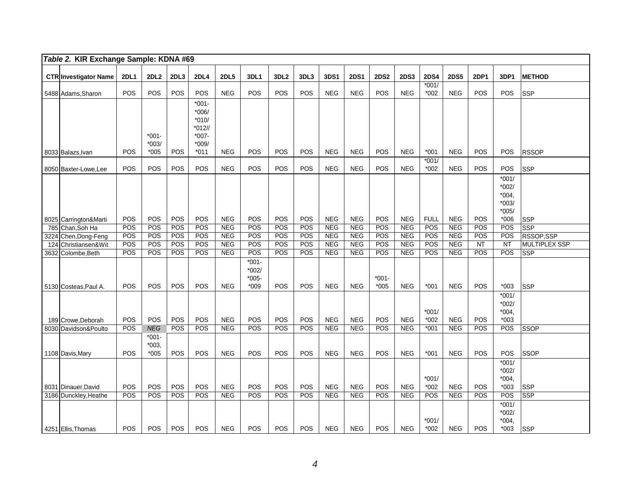| Table 2. KIR Exchange Sample: KDNA #69       |             |                  |            |                     |                          |            |                  |            |                          |             |             |                          |                   |                          |             |                    |                      |
|----------------------------------------------|-------------|------------------|------------|---------------------|--------------------------|------------|------------------|------------|--------------------------|-------------|-------------|--------------------------|-------------------|--------------------------|-------------|--------------------|----------------------|
| <b>CTR Investigator Name</b>                 | <b>2DL1</b> | 2DL <sub>2</sub> | 2DL3       | <b>2DL4</b>         | <b>2DL5</b>              | 3DL1       | 3DL <sub>2</sub> | 3DL3       | 3DS1                     | <b>2DS1</b> | <b>2DS2</b> | <b>2DS3</b>              | <b>2DS4</b>       | <b>2DS5</b>              | <b>2DP1</b> | 3DP1               | <b>METHOD</b>        |
|                                              |             |                  |            |                     |                          |            |                  |            |                          |             |             |                          | $*001/$           |                          |             |                    |                      |
| 5488 Adams, Sharon                           | POS         | POS              | POS        | POS                 | <b>NEG</b>               | POS        | POS              | POS        | <b>NEG</b>               | <b>NEG</b>  | POS         | <b>NEG</b>               | *002              | <b>NEG</b>               | POS         | POS                | <b>SSP</b>           |
|                                              |             |                  |            | $*001 -$            |                          |            |                  |            |                          |             |             |                          |                   |                          |             |                    |                      |
|                                              |             |                  |            | $*006/$             |                          |            |                  |            |                          |             |             |                          |                   |                          |             |                    |                      |
|                                              |             |                  |            | $*010/$             |                          |            |                  |            |                          |             |             |                          |                   |                          |             |                    |                      |
|                                              |             | $*001 -$         |            | $*012/$<br>$*007 -$ |                          |            |                  |            |                          |             |             |                          |                   |                          |             |                    |                      |
|                                              |             | $*003/$          |            | $*009/$             |                          |            |                  |            |                          |             |             |                          |                   |                          |             |                    |                      |
| 8033 Balazs, Ivan                            | <b>POS</b>  | $*005$           | <b>POS</b> | $*011$              | <b>NEG</b>               | POS        | POS              | <b>POS</b> | <b>NEG</b>               | <b>NEG</b>  | POS         | <b>NEG</b>               | $*001$            | <b>NEG</b>               | <b>POS</b>  | POS                | <b>RSSOP</b>         |
|                                              |             |                  |            |                     |                          |            |                  |            |                          |             |             |                          | $*001/$           |                          |             |                    |                      |
| 8050 Baxter-Lowe, Lee                        | POS         | <b>POS</b>       | POS        | POS                 | <b>NEG</b>               | <b>POS</b> | POS              | POS        | <b>NEG</b>               | <b>NEG</b>  | POS         | <b>NEG</b>               | *002              | <b>NEG</b>               | <b>POS</b>  | POS                | <b>SSP</b>           |
|                                              |             |                  |            |                     |                          |            |                  |            |                          |             |             |                          |                   |                          |             | $*001/$            |                      |
|                                              |             |                  |            |                     |                          |            |                  |            |                          |             |             |                          |                   |                          |             | $*002/$<br>$*004,$ |                      |
|                                              |             |                  |            |                     |                          |            |                  |            |                          |             |             |                          |                   |                          |             | $*003/$            |                      |
|                                              |             |                  |            |                     |                          |            |                  |            |                          |             |             |                          |                   |                          |             | $*005/$            |                      |
| 8025 Carrington&Marti                        | POS         | POS              | POS        | POS                 | <b>NEG</b>               | POS        | POS              | POS        | <b>NEG</b>               | <b>NEG</b>  | POS         | <b>NEG</b>               | <b>FULL</b>       | <b>NEG</b>               | <b>POS</b>  | $*006$             | <b>SSP</b>           |
| 785 Chan, Soh Ha                             | <b>POS</b>  | POS              | POS        | POS                 | <b>NEG</b>               | POS        | POS              | POS        | <b>NEG</b>               | <b>NEG</b>  | POS         | <b>NEG</b>               | POS               | <b>NEG</b>               | POS         | POS                | <b>SSP</b>           |
| 3224 Chen, Dong-Feng                         | <b>POS</b>  | POS              | POS        | POS                 | <b>NEG</b>               | POS        | POS              | POS        | <b>NEG</b>               | <b>NEG</b>  | POS         | NEG                      | POS               | <b>NEG</b>               | POS         | POS                | RSSOP,SSP            |
| 124 Christiansen&Wit                         | POS<br>POS  | POS<br>POS       | POS<br>POS | POS<br>POS          | <b>NEG</b><br><b>NEG</b> | POS<br>POS | POS<br>POS       | POS        | <b>NEG</b><br><b>NEG</b> | <b>NEG</b>  | POS<br>POS  | <b>NEG</b><br><b>NEG</b> | POS<br>POS        | <b>NEG</b><br><b>NEG</b> | NT<br>POS   | <b>NT</b><br>POS   | <b>MULTIPLEX SSP</b> |
| 3632 Colombe,Beth                            |             |                  |            |                     |                          | $*001 -$   |                  | POS        |                          | <b>NEG</b>  |             |                          |                   |                          |             |                    | <b>SSP</b>           |
|                                              |             |                  |            |                     |                          | $*002/$    |                  |            |                          |             |             |                          |                   |                          |             |                    |                      |
|                                              |             |                  |            |                     |                          | $*005 -$   |                  |            |                          |             | $*001 -$    |                          |                   |                          |             |                    |                      |
| 5130 Costeas, Paul A.                        | <b>POS</b>  | <b>POS</b>       | <b>POS</b> | <b>POS</b>          | <b>NEG</b>               | $*009$     | <b>POS</b>       | <b>POS</b> | <b>NEG</b>               | <b>NEG</b>  | $*005$      | <b>NEG</b>               | $*001$            | <b>NEG</b>               | <b>POS</b>  | $*003$             | <b>SSP</b>           |
|                                              |             |                  |            |                     |                          |            |                  |            |                          |             |             |                          |                   |                          |             | $*001/$            |                      |
|                                              |             |                  |            |                     |                          |            |                  |            |                          |             |             |                          |                   |                          |             | $*002/$            |                      |
|                                              | POS         | POS              | POS        | POS                 | <b>NEG</b>               | POS        | POS              | POS        | <b>NEG</b>               | <b>NEG</b>  | POS         | <b>NEG</b>               | $*001/$<br>*002   | <b>NEG</b>               | <b>POS</b>  | $*004,$<br>$*003$  |                      |
| 189 Crowe, Deborah<br>8030 Davidson&Poulto   | POS         | <b>NEG</b>       | POS        | POS                 | <b>NEG</b>               | POS        | POS              | POS        | <b>NEG</b>               | NEG         | <b>POS</b>  | NEG                      | $*001$            | <b>NEG</b>               | POS         | POS                | <b>SSOP</b>          |
|                                              |             | $*001 -$         |            |                     |                          |            |                  |            |                          |             |             |                          |                   |                          |             |                    |                      |
|                                              |             | $*003,$          |            |                     |                          |            |                  |            |                          |             |             |                          |                   |                          |             |                    |                      |
| 1108 Davis, Mary                             | <b>POS</b>  | $*005$           | POS        | <b>POS</b>          | <b>NEG</b>               | POS        | POS              | POS        | <b>NEG</b>               | <b>NEG</b>  | POS         | <b>NEG</b>               | $*001$            | <b>NEG</b>               | <b>POS</b>  | POS                | <b>SSOP</b>          |
|                                              |             |                  |            |                     |                          |            |                  |            |                          |             |             |                          |                   |                          |             | $*001/$            |                      |
|                                              |             |                  |            |                     |                          |            |                  |            |                          |             |             |                          |                   |                          |             | $*002/$            |                      |
|                                              | POS         | <b>POS</b>       | POS        | <b>POS</b>          | <b>NEG</b>               | <b>POS</b> | POS              | POS        | <b>NEG</b>               | <b>NEG</b>  | <b>POS</b>  | <b>NEG</b>               | $*001/$<br>$*002$ | <b>NEG</b>               | <b>POS</b>  | $*004,$<br>$*003$  | <b>SSP</b>           |
| 8031 Dinauer, David<br>3186 Dunckley, Heathe | POS         | POS              | POS        | POS                 | NEG                      | POS        | POS              | POS        | <b>NEG</b>               | <b>NEG</b>  | POS         | <b>NEG</b>               | POS               | <b>NEG</b>               | POS         | POS                | <b>SSP</b>           |
|                                              |             |                  |            |                     |                          |            |                  |            |                          |             |             |                          |                   |                          |             | $*001/$            |                      |
|                                              |             |                  |            |                     |                          |            |                  |            |                          |             |             |                          |                   |                          |             | $*002/$            |                      |
|                                              |             |                  |            |                     |                          |            |                  |            |                          |             |             |                          | $*001/$           |                          |             | $*004,$            |                      |
| 4251 Ellis, Thomas                           | <b>POS</b>  | <b>POS</b>       | <b>POS</b> | <b>POS</b>          | <b>NEG</b>               | <b>POS</b> | <b>POS</b>       | <b>POS</b> | <b>NEG</b>               | <b>NEG</b>  | <b>POS</b>  | <b>NEG</b>               | $*002$            | <b>NEG</b>               | <b>POS</b>  | $*003$             | <b>SSP</b>           |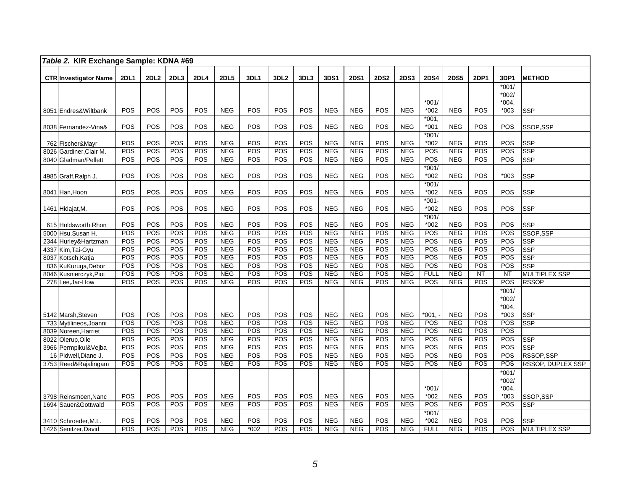| Table 2. KIR Exchange Sample: KDNA #69        |             |             |            |             |                   |            |                  |            |                   |                   |             |                   |                   |                   |             |                   |                          |
|-----------------------------------------------|-------------|-------------|------------|-------------|-------------------|------------|------------------|------------|-------------------|-------------------|-------------|-------------------|-------------------|-------------------|-------------|-------------------|--------------------------|
| <b>CTR Investigator Name</b>                  | <b>2DL1</b> | <b>2DL2</b> | 2DL3       | <b>2DL4</b> | <b>2DL5</b>       | 3DL1       | 3DL <sub>2</sub> | 3DL3       | 3DS1              | <b>2DS1</b>       | <b>2DS2</b> | <b>2DS3</b>       | <b>2DS4</b>       | <b>2DS5</b>       | <b>2DP1</b> | 3DP1              | <b>METHOD</b>            |
|                                               |             |             |            |             |                   |            |                  |            |                   |                   |             |                   |                   |                   |             | $*001/$           |                          |
|                                               |             |             |            |             |                   |            |                  |            |                   |                   |             |                   |                   |                   |             | $*002/$           |                          |
| 8051 Endres& Wiltbank                         | POS         | POS         | POS        | POS         | <b>NEG</b>        | POS        | POS              | POS        | <b>NEG</b>        | <b>NEG</b>        | POS         | <b>NEG</b>        | $*001/$<br>$*002$ | <b>NEG</b>        | POS         | $*004,$<br>$*003$ | <b>SSP</b>               |
|                                               |             |             |            |             |                   |            |                  |            |                   |                   |             |                   | $*001,$           |                   |             |                   |                          |
| 8038 Fernandez-Vina&                          | POS         | POS         | POS        | POS         | <b>NEG</b>        | POS        | POS              | POS        | <b>NEG</b>        | <b>NEG</b>        | POS         | <b>NEG</b>        | $*001$            | <b>NEG</b>        | POS         | POS               | SSOP,SSP                 |
| 762 Fischer&Mayr                              | POS         | POS         | POS        | POS         | <b>NEG</b>        | POS        | POS              | POS        | <b>NEG</b>        | <b>NEG</b>        | <b>POS</b>  | <b>NEG</b>        | $*001/$<br>$*002$ | <b>NEG</b>        | POS         | POS               | <b>SSP</b>               |
| 8026 Gardiner, Clair M.                       | POS         | POS         | POS        | POS         | <b>NEG</b>        | POS        | POS              | POS        | <b>NEG</b>        | NEG               | POS         | <b>NEG</b>        | POS               | <b>NEG</b>        | POS         | POS               | <b>SSP</b>               |
| 8040 Gladman/Pellett                          | POS         | POS         | POS        | POS         | NEG               | POS        | POS              | POS        | <b>NEG</b>        | <b>NEG</b>        | POS         | <b>NEG</b>        | POS               | <b>NEG</b>        | POS         | POS               | <b>SSP</b>               |
|                                               |             |             |            |             |                   |            |                  |            |                   |                   |             |                   | $*001/$           |                   |             |                   |                          |
| 4985 Graff, Ralph J.                          | POS         | POS         | POS        | POS         | <b>NEG</b>        | POS        | POS              | POS        | <b>NEG</b>        | <b>NEG</b>        | POS         | <b>NEG</b>        | $*002$            | <b>NEG</b>        | POS         | $*003$            | <b>SSP</b>               |
|                                               |             |             |            |             |                   |            |                  |            |                   |                   |             |                   | $*001/$           |                   |             |                   |                          |
| 8041 Han, Hoon                                | POS         | POS         | POS        | POS         | <b>NEG</b>        | POS        | POS              | POS        | <b>NEG</b>        | <b>NEG</b>        | POS         | <b>NEG</b>        | $*002$            | <b>NEG</b>        | POS         | POS               | <b>SSP</b>               |
|                                               |             |             |            |             |                   |            |                  |            |                   |                   |             |                   | $*001 -$          |                   |             |                   |                          |
| 1461 Hidajat, M.                              | POS         | POS         | POS        | POS         | <b>NEG</b>        | POS        | POS              | POS        | <b>NEG</b>        | <b>NEG</b>        | POS         | <b>NEG</b>        | $*002$            | <b>NEG</b>        | POS         | POS               | <b>SSP</b>               |
|                                               |             |             |            |             |                   |            |                  |            |                   |                   |             |                   | $*001/$           |                   |             |                   |                          |
| 615 Holdsworth, Rhon                          | POS         | POS         | POS        | POS         | <b>NEG</b>        | POS        | POS              | POS        | <b>NEG</b>        | <b>NEG</b>        | POS         | <b>NEG</b>        | $*002$            | <b>NEG</b>        | POS         | POS               | <b>SSP</b>               |
| 5000 Hsu, Susan H.                            | POS         | POS         | POS        | POS         | <b>NEG</b>        | POS        | POS              | POS        | <b>NEG</b>        | <b>NEG</b>        | POS         | <b>NEG</b>        | POS               | <b>NEG</b>        | POS         | POS               | SSOP, SSP                |
| 2344 Hurley& Hartzman                         | POS         | POS         | POS        | POS         | <b>NEG</b>        | POS        | POS              | POS        | <b>NEG</b>        | <b>NEG</b>        | POS         | <b>NEG</b>        | POS               | <b>NEG</b>        | POS         | POS               | <b>SSP</b>               |
| 4337 Kim, Tai-Gyu                             | POS<br>POS  | POS<br>POS  | POS<br>POS | POS<br>POS  | NEG<br><b>NEG</b> | POS<br>POS | POS<br>POS       | POS<br>POS | NEG<br><b>NEG</b> | NEG<br><b>NEG</b> | POS<br>POS  | NEG<br><b>NEG</b> | POS<br>POS        | NEG<br><b>NEG</b> | POS<br>POS  | POS<br>POS        | <b>SSP</b><br><b>SSP</b> |
| 8037 Kotsch, Katja                            | POS         | POS         | POS        | POS         | <b>NEG</b>        | POS        | POS              | POS        | <b>NEG</b>        | <b>NEG</b>        | POS         | <b>NEG</b>        | POS               | <b>NEG</b>        | POS         | POS               | <b>SSP</b>               |
| 836 KuKuruga, Debor<br>8046 Kusnierczyk, Piot | POS         | POS         | POS        | POS         | NEG               | POS        | POS              | POS        | NEG               | NEG               | POS         | NEG               | <b>FULL</b>       | NEG               | NT          | NT                | <b>MULTIPLEX SSP</b>     |
| 278 Lee, Jar-How                              | POS         | POS         | POS        | POS         | <b>NEG</b>        | POS        | POS              | POS        | <b>NEG</b>        | <b>NEG</b>        | POS         | <b>NEG</b>        | POS               | NEG               | POS         | POS               | <b>RSSOP</b>             |
|                                               |             |             |            |             |                   |            |                  |            |                   |                   |             |                   |                   |                   |             | $*001/$           |                          |
|                                               |             |             |            |             |                   |            |                  |            |                   |                   |             |                   |                   |                   |             | $*002/$           |                          |
|                                               |             |             |            |             |                   |            |                  |            |                   |                   |             |                   |                   |                   |             | $*004,$           |                          |
| 5142 Marsh, Steven                            | POS         | POS         | POS        | POS         | <b>NEG</b>        | POS        | POS              | POS        | <b>NEG</b>        | <b>NEG</b>        | POS         | <b>NEG</b>        | $*001,$           | <b>NEG</b>        | POS         | $*003$            | <b>SSP</b>               |
| 733 Mytilineos, Joanni                        | POS         | <b>POS</b>  | POS        | POS         | <b>NEG</b>        | POS        | POS              | POS        | <b>NEG</b>        | <b>NEG</b>        | POS         | <b>NEG</b>        | POS               | <b>NEG</b>        | POS         | POS               | SSP                      |
| 8039 Noreen, Harriet                          | POS         | POS         | POS        | POS         | <b>NEG</b>        | POS        | POS              | POS        | <b>NEG</b>        | <b>NEG</b>        | POS         | <b>NEG</b>        | POS               | <b>NEG</b>        | POS         | <b>POS</b>        |                          |
| 8022 Olerup, Olle                             | POS         | POS         | POS        | POS         | <b>NEG</b>        | POS        | POS              | POS        | <b>NEG</b>        | NEG               | POS         | <b>NEG</b>        | POS               | <b>NEG</b>        | POS         | POS               | <b>SSP</b>               |
| 3966 Permpikul&Vejba                          | POS         | POS         | POS        | POS         | <b>NEG</b>        | POS        | POS              | POS        | <b>NEG</b>        | <b>NEG</b>        | POS         | <b>NEG</b>        | POS               | <b>NEG</b>        | POS         | POS               | <b>SSP</b>               |
| 16 Pidwell, Diane J.                          | POS         | POS         | POS        | POS         | <b>NEG</b>        | POS        | POS              | POS        | <b>NEG</b>        | NEG               | POS         | <b>NEG</b>        | POS               | <b>NEG</b>        | POS         | <b>POS</b>        | RSSOP, SSP               |
| 3753 Reed&Rajalingam                          | POS         | POS         | POS        | POS         | <b>NEG</b>        | POS        | POS              | POS        | <b>NEG</b>        | <b>NEG</b>        | POS         | <b>NEG</b>        | POS               | <b>NEG</b>        | POS         | POS               | RSSOP, DUPLEX SSP        |
|                                               |             |             |            |             |                   |            |                  |            |                   |                   |             |                   |                   |                   |             | $*001/$           |                          |
|                                               |             |             |            |             |                   |            |                  |            |                   |                   |             |                   |                   |                   |             | $*002/$           |                          |
|                                               |             |             |            |             |                   |            |                  |            |                   |                   |             |                   | $*001/$           |                   |             | $*004.$           |                          |
| 3798 Reinsmoen, Nanc                          | POS         | POS         | POS        | POS         | <b>NEG</b>        | POS        | POS              | POS        | <b>NEG</b>        | <b>NEG</b>        | POS         | <b>NEG</b>        | $*002$            | <b>NEG</b>        | POS         | $*003$            | SSOP, SSP                |
| 1694 Sauer&Gottwald                           | POS         | POS         | POS        | <b>POS</b>  | <b>NEG</b>        | POS        | POS              | POS        | <b>NEG</b>        | <b>NEG</b>        | POS         | <b>NEG</b>        | POS               | <b>NEG</b>        | POS         | <b>POS</b>        | <b>SSP</b>               |
|                                               | POS         | POS         | POS        | POS         | <b>NEG</b>        | POS        | POS              | POS        | <b>NEG</b>        | <b>NEG</b>        | POS         | <b>NEG</b>        | $*001/$<br>$*002$ | <b>NEG</b>        | POS         | POS               | <b>SSP</b>               |
| 3410 Schroeder, M.L.<br>1426 Senitzer, David  | POS         | POS         | POS        | POS         | <b>NEG</b>        | $*002$     | POS              | POS        | <b>NEG</b>        | <b>NEG</b>        | POS         | <b>NEG</b>        | <b>FULL</b>       | <b>NEG</b>        | POS         | POS               | <b>MULTIPLEX SSP</b>     |
|                                               |             |             |            |             |                   |            |                  |            |                   |                   |             |                   |                   |                   |             |                   |                          |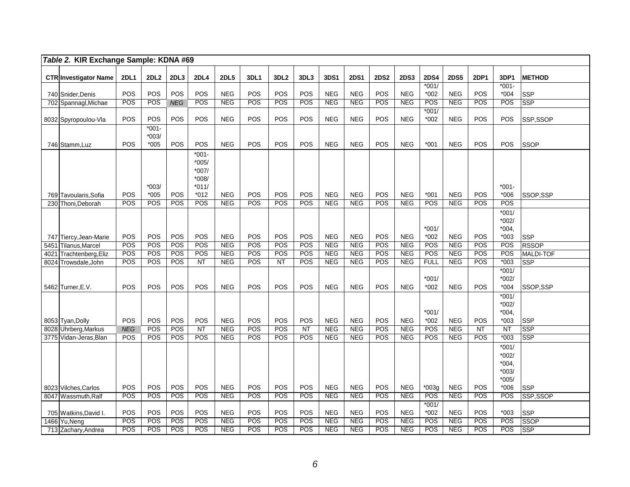| Table 2. KIR Exchange Sample: KDNA #69            |             |                  |            |                 |                          |            |                  |                        |                          |                          |             |                          |               |                          |             |                        |                            |
|---------------------------------------------------|-------------|------------------|------------|-----------------|--------------------------|------------|------------------|------------------------|--------------------------|--------------------------|-------------|--------------------------|---------------|--------------------------|-------------|------------------------|----------------------------|
| <b>CTR Investigator Name</b>                      | <b>2DL1</b> | 2DL <sub>2</sub> | 2DL3       | 2DL4            | <b>2DL5</b>              | 3DL1       | 3DL <sub>2</sub> | 3DL3                   | 3DS1                     | <b>2DS1</b>              | <b>2DS2</b> | <b>2DS3</b>              | <b>2DS4</b>   | <b>2DS5</b>              | <b>2DP1</b> | 3DP1                   | <b>METHOD</b>              |
|                                                   |             |                  |            |                 |                          |            |                  |                        |                          |                          |             |                          | $*001/$       |                          |             | $*001 -$               |                            |
| 740 Snider, Denis                                 | POS         | POS              | POS        | POS             | <b>NEG</b>               | POS        | POS              | POS                    | <b>NEG</b>               | <b>NEG</b>               | POS         | <b>NEG</b>               | $*002$        | <b>NEG</b>               | POS         | $*004$                 | <b>SSP</b>                 |
| 702 Spannagl, Michae                              | POS         | POS              | <b>NEG</b> | POS             | NEG                      | POS        | POS              | POS                    | NEG                      | NEG                      | POS         | <b>NEG</b>               | POS           | NEG                      | POS         | POS                    | <b>SSP</b>                 |
|                                                   |             |                  |            |                 |                          |            |                  |                        |                          |                          |             |                          | $*001/$       |                          |             |                        |                            |
| 8032 Spyropoulou-Vla                              | POS         | POS              | POS        | POS             | <b>NEG</b>               | POS        | POS              | POS                    | <b>NEG</b>               | <b>NEG</b>               | POS         | <b>NEG</b>               | $*002$        | <b>NEG</b>               | POS         | POS                    | SSP,SSOP                   |
|                                                   |             | $*001 -$         |            |                 |                          |            |                  |                        |                          |                          |             |                          |               |                          |             |                        |                            |
|                                                   |             | $*003/$          |            |                 |                          |            |                  |                        |                          |                          |             |                          |               |                          |             |                        |                            |
| 746 Stamm, Luz                                    | POS         | $*005$           | POS        | POS             | <b>NEG</b>               | POS        | POS              | POS                    | <b>NEG</b>               | <b>NEG</b>               | POS         | <b>NEG</b>               | $*001$        | <b>NEG</b>               | POS         | POS                    | <b>SSOP</b>                |
|                                                   |             |                  |            | $*001 -$        |                          |            |                  |                        |                          |                          |             |                          |               |                          |             |                        |                            |
|                                                   |             |                  |            | $*005/$         |                          |            |                  |                        |                          |                          |             |                          |               |                          |             |                        |                            |
|                                                   |             |                  |            | $*007/$         |                          |            |                  |                        |                          |                          |             |                          |               |                          |             |                        |                            |
|                                                   |             |                  |            | $*008/$         |                          |            |                  |                        |                          |                          |             |                          |               |                          |             |                        |                            |
|                                                   |             | $*003/$          |            | $*011/$         |                          |            |                  |                        |                          |                          |             |                          |               |                          |             | $*001 -$               |                            |
| 769 Tavoularis, Sofia                             | POS         | $*005$           | POS        | $*012$          | <b>NEG</b>               | POS        | POS              | POS                    | <b>NEG</b>               | <b>NEG</b>               | POS         | <b>NEG</b>               | $*001$        | <b>NEG</b>               | POS         | $*006$                 | SSOP,SSP                   |
| 230 Thoni, Deborah                                | POS         | POS              | POS        | POS             | <b>NEG</b>               | POS        | POS              | POS                    | <b>NEG</b>               | <b>NEG</b>               | POS         | <b>NEG</b>               | POS           | <b>NEG</b>               | POS         | POS                    |                            |
|                                                   |             |                  |            |                 |                          |            |                  |                        |                          |                          |             |                          |               |                          |             | $*001/$                |                            |
|                                                   |             |                  |            |                 |                          |            |                  |                        |                          |                          |             |                          |               |                          |             | $*002/$                |                            |
|                                                   |             |                  |            |                 |                          |            |                  |                        |                          |                          |             |                          | $*001/$       |                          |             | $*004,$                |                            |
| 747 Tiercy, Jean-Marie<br>Tilanus, Marcel<br>5451 | POS<br>POS  | POS<br>POS       | POS<br>POS | POS<br>POS      | <b>NEG</b><br><b>NEG</b> | POS<br>POS | POS<br>POS       | POS<br>POS             | <b>NEG</b><br><b>NEG</b> | <b>NEG</b><br><b>NEG</b> | POS<br>POS  | <b>NEG</b><br><b>NEG</b> | $*002$<br>POS | <b>NEG</b><br><b>NEG</b> | POS<br>POS  | $*003$<br>POS          | <b>SSP</b><br><b>RSSOP</b> |
| Trachtenberg, Eliz<br>4021                        | POS         | POS              | POS        | POS             | <b>NEG</b>               | POS        | POS              | POS                    | <b>NEG</b>               | <b>NEG</b>               | POS         | <b>NEG</b>               | POS           | <b>NEG</b>               | POS         | POS                    | MALDI-TOF                  |
| 8024 Trowsdale, John                              | POS         | POS              | POS        | $\overline{NT}$ | <b>NEG</b>               | POS        | <b>NT</b>        | POS                    | <b>NEG</b>               | <b>NEG</b>               | POS         | <b>NEG</b>               | <b>FULL</b>   | NEG                      | POS         | $*003$                 | <b>SSP</b>                 |
|                                                   |             |                  |            |                 |                          |            |                  |                        |                          |                          |             |                          |               |                          |             | $*001/$                |                            |
|                                                   |             |                  |            |                 |                          |            |                  |                        |                          |                          |             |                          | $*001/$       |                          |             | $*002/$                |                            |
| 5462 Turner, E.V.                                 | POS         | POS              | POS        | POS             | <b>NEG</b>               | POS        | POS              | POS                    | <b>NEG</b>               | <b>NEG</b>               | POS         | <b>NEG</b>               | $*002$        | <b>NEG</b>               | POS         | $*004$                 | SSOP,SSP                   |
|                                                   |             |                  |            |                 |                          |            |                  |                        |                          |                          |             |                          |               |                          |             | $*001/$                |                            |
|                                                   |             |                  |            |                 |                          |            |                  |                        |                          |                          |             |                          |               |                          |             | $*002/$                |                            |
|                                                   |             |                  |            |                 |                          |            |                  |                        |                          |                          |             |                          | $*001/$       |                          |             | $*004,$                |                            |
| 8053 Tyan, Dolly                                  | POS         | <b>POS</b>       | <b>POS</b> | POS             | <b>NEG</b>               | POS        | <b>POS</b>       | POS                    | <b>NEG</b>               | <b>NEG</b>               | POS         | <b>NEG</b>               | $*002$        | <b>NEG</b>               | POS         | $*003$                 | <b>SSP</b>                 |
| 8028 Uhrberg, Markus                              | <b>NEG</b>  | POS              | POS        | NT              | NEG                      | POS        | POS              | $\overline{\text{NT}}$ | NEG                      | NEG                      | POS         | NEG                      | POS           | <b>NEG</b>               | NT          | $\overline{\text{NT}}$ | $\overline{\text{SSP}}$    |
| 3775 Vidan-Jeras, Blan                            | POS         | POS              | POS        | POS             | NEG                      | POS        | POS              | POS                    | NEG                      | <b>NEG</b>               | <b>POS</b>  | <b>NEG</b>               | POS           | NEG                      | POS         | $*003$                 | $\overline{\text{SSP}}$    |
|                                                   |             |                  |            |                 |                          |            |                  |                        |                          |                          |             |                          |               |                          |             | $*001/$                |                            |
|                                                   |             |                  |            |                 |                          |            |                  |                        |                          |                          |             |                          |               |                          |             | $*002/$                |                            |
|                                                   |             |                  |            |                 |                          |            |                  |                        |                          |                          |             |                          |               |                          |             | $*004,$                |                            |
|                                                   |             |                  |            |                 |                          |            |                  |                        |                          |                          |             |                          |               |                          |             | $*003/$                |                            |
|                                                   |             |                  |            |                 |                          |            |                  |                        |                          |                          |             |                          |               |                          |             | $*005/$                |                            |
| 8023 Vilches, Carlos                              | POS         | POS              | POS        | POS             | <b>NEG</b>               | POS        | POS              | POS                    | <b>NEG</b>               | <b>NEG</b>               | POS         | <b>NEG</b>               | $*003g$       | <b>NEG</b>               | POS         | $*006$                 | <b>SSP</b>                 |
| 8047 Wassmuth, Ralf                               | POS         | POS              | POS        | POS             | <b>NEG</b>               | POS        | POS              | POS                    | <b>NEG</b>               | NEG                      | POS         | NEG                      | POS           | NEG                      | POS         | POS                    | SSP, SSOP                  |
|                                                   |             |                  |            |                 |                          |            |                  |                        |                          |                          |             |                          | $*001/$       |                          |             |                        |                            |
| 705 Watkins, David I.                             | POS         | POS              | POS        | POS             | <b>NEG</b>               | POS        | POS              | POS                    | <b>NEG</b>               | <b>NEG</b>               | <b>POS</b>  | <b>NEG</b>               | $*002$        | <b>NEG</b>               | POS         | $*003$                 | <b>SSP</b>                 |
| 1466 Yu, Neng                                     | POS         | POS              | POS        | POS             | <b>NEG</b>               | POS        | POS              | POS                    | <b>NEG</b>               | <b>NEG</b>               | POS         | <b>NEG</b>               | POS           | NEG                      | POS         | POS                    | SSOP                       |
| 713 Zachary, Andrea                               | POS         | POS              | POS        | POS             | <b>NEG</b>               | POS        | POS              | POS                    | <b>NEG</b>               | <b>NEG</b>               | POS         | <b>NEG</b>               | POS           | <b>NEG</b>               | POS         | POS                    | <b>SSP</b>                 |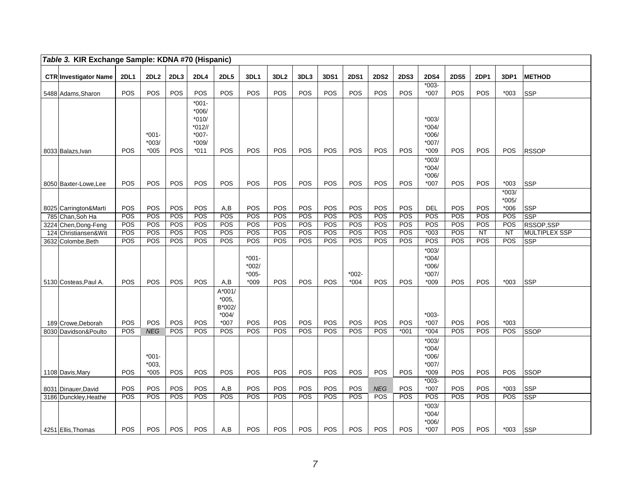| Table 3. KIR Exchange Sample: KDNA #70 (Hispanic) |                   |                             |            |                                                             |                                                    |                                         |                   |                   |                   |                   |             |             |                                                    |                   |                   |                    |                            |
|---------------------------------------------------|-------------------|-----------------------------|------------|-------------------------------------------------------------|----------------------------------------------------|-----------------------------------------|-------------------|-------------------|-------------------|-------------------|-------------|-------------|----------------------------------------------------|-------------------|-------------------|--------------------|----------------------------|
| <b>CTR Investigator Name</b>                      | <b>2DL1</b>       | 2DL2                        | 2DL3       | <b>2DL4</b>                                                 | <b>2DL5</b>                                        | 3DL1                                    | 3DL <sub>2</sub>  | 3DL3              | 3DS1              | <b>2DS1</b>       | <b>2DS2</b> | <b>2DS3</b> | <b>2DS4</b>                                        | <b>2DS5</b>       | <b>2DP1</b>       | 3DP1               | <b>METHOD</b>              |
| 5488 Adams, Sharon                                | POS               | POS                         | POS        | POS                                                         | POS                                                | POS                                     | POS               | <b>POS</b>        | POS               | POS               | POS         | POS         | $*003-$<br>$*007$                                  | POS               | POS               | $*003$             | <b>SSP</b>                 |
|                                                   |                   | $*001 -$<br>$*003/$         |            | $*001 -$<br>*006/<br>$*010/$<br>$*012/$<br>$*007-$<br>*009/ |                                                    |                                         |                   |                   |                   |                   |             |             | $*003/$<br>$*004/$<br>$*006/$<br>$*007/$           |                   |                   |                    |                            |
| 8033 Balazs, Ivan<br>8050 Baxter-Lowe, Lee        | POS<br>POS        | $*005$<br>POS               | POS<br>POS | $*011$<br>POS                                               | POS<br>POS                                         | POS<br>POS                              | POS<br>POS        | POS<br>POS        | POS<br>POS        | POS<br>POS        | POS<br>POS  | POS<br>POS  | $*009$<br>$*003/$<br>$*004/$<br>$*006/$<br>$*007$  | POS<br><b>POS</b> | POS<br>POS        | POS<br>$*003$      | <b>RSSOP</b><br><b>SSP</b> |
|                                                   |                   |                             |            |                                                             |                                                    |                                         |                   |                   |                   |                   |             |             |                                                    |                   |                   | $*003/$<br>$*005/$ |                            |
| 8025 Carrington&Marti                             | <b>POS</b><br>POS | <b>POS</b><br>POS           | POS<br>POS | <b>POS</b><br>POS                                           | A,B<br>POS                                         | <b>POS</b><br>POS                       | <b>POS</b><br>POS | <b>POS</b><br>POS | <b>POS</b><br>POS | POS<br>POS        | POS<br>POS  | POS<br>POS  | <b>DEL</b><br>POS                                  | <b>POS</b><br>POS | <b>POS</b><br>POS | $*006$<br>POS      | <b>SSP</b><br><b>SSP</b>   |
| 785 Chan, Soh Ha<br>3224 Chen, Dong-Feng          | POS               | POS                         | <b>POS</b> | POS                                                         | POS                                                | POS                                     | POS               | POS               | POS               | POS               | POS         | POS         | POS                                                | POS               | POS               | POS                | <b>RSSOP,SSP</b>           |
| 124 Christiansen&Wit                              | POS               | <b>POS</b>                  | <b>POS</b> | POS                                                         | POS                                                | POS                                     | POS               | POS               | POS               | POS               | POS         | POS         | $*003$                                             | POS               | <b>NT</b>         | <b>NT</b>          | <b>MULTIPLEX SSP</b>       |
| 3632 Colombe,Beth                                 | POS               | POS                         | <b>POS</b> | POS                                                         | POS                                                | POS                                     | <b>POS</b>        | <b>POS</b>        | POS               | POS               | POS         | POS         | POS                                                | <b>POS</b>        | POS               | POS                | <b>SSP</b>                 |
| 5130 Costeas, Paul A.                             | POS               | POS                         | POS        | POS                                                         | A,B                                                | $*001-$<br>$*002/$<br>$*005-$<br>$*009$ | POS               | <b>POS</b>        | POS               | $*002-$<br>$*004$ | POS         | POS         | $*003/$<br>$*004/$<br>$*006/$<br>$*007/$<br>$*009$ | POS               | POS               | $*003$             | <b>SSP</b>                 |
| 189 Crowe.Deborah                                 | POS               | POS                         | POS        | <b>POS</b>                                                  | $A*001/$<br>$*005,$<br>B*002/<br>$*004/$<br>$*007$ | <b>POS</b>                              | POS               | POS               | POS               | POS               | POS         | POS         | $*003-$<br>$*007$                                  | POS               | POS               | $*003$             |                            |
| 8030 Davidson&Poulto                              | POS               | <b>NEG</b>                  | POS        | POS                                                         | POS                                                | POS                                     | POS               | <b>POS</b>        | POS               | POS               | POS         | $*001$      | $*004$                                             | POS               | POS               | POS                | <b>SSOP</b>                |
| 1108 Davis, Mary                                  | POS               | $*001 -$<br>*003.<br>$*005$ | POS        | POS                                                         | POS                                                | POS                                     | POS               | POS               | POS               | POS               | POS         | POS         | $*003/$<br>$*004/$<br>$*006/$<br>$*007/$<br>*009   | POS               | POS               | POS                | <b>SSOP</b>                |
|                                                   |                   |                             |            |                                                             |                                                    |                                         |                   |                   |                   |                   |             |             | $*003-$                                            |                   |                   |                    |                            |
| 8031 Dinauer, David                               | POS               | POS                         | POS        | POS                                                         | A,B                                                | POS                                     | POS               | POS               | POS               | POS               | <b>NEG</b>  | POS         | $*007$                                             | POS               | POS               | $*003$             | <b>SSP</b>                 |
| 3186 Dunckley, Heathe                             | POS               | POS                         | POS        | POS                                                         | POS                                                | POS                                     | POS               | <b>POS</b>        | POS               | POS               | <b>POS</b>  | POS         | POS                                                | POS               | <b>POS</b>        | POS                | <b>SSP</b>                 |
| 4251 Ellis, Thomas                                | <b>POS</b>        | <b>POS</b>                  | <b>POS</b> | <b>POS</b>                                                  | A,B                                                | <b>POS</b>                              | <b>POS</b>        | <b>POS</b>        | <b>POS</b>        | <b>POS</b>        | <b>POS</b>  | POS         | $*003/$<br>$*004/$<br>$*006/$<br>*007              | <b>POS</b>        | <b>POS</b>        | $*003$             | <b>SSP</b>                 |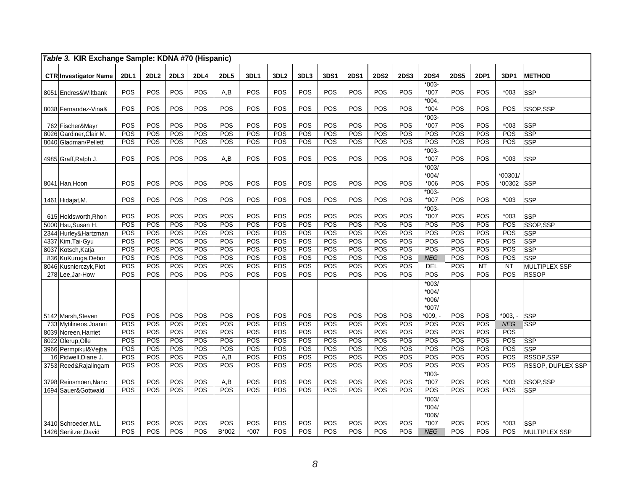| Table 3. KIR Exchange Sample: KDNA #70 (Hispanic) |             |                  |      |      |             |                  |                  |      |                  |                  |             |                  |                                          |             |                  |                   |                          |
|---------------------------------------------------|-------------|------------------|------|------|-------------|------------------|------------------|------|------------------|------------------|-------------|------------------|------------------------------------------|-------------|------------------|-------------------|--------------------------|
| <b>CTR Investigator Name</b>                      | <b>2DL1</b> | 2DL <sub>2</sub> | 2DL3 | 2DL4 | <b>2DL5</b> | 3DL1             | 3DL <sub>2</sub> | 3DL3 | 3DS1             | <b>2DS1</b>      | <b>2DS2</b> | <b>2DS3</b>      | <b>2DS4</b>                              | <b>2DS5</b> | 2DP1             | 3DP1              | <b>METHOD</b>            |
| 8051 Endres& Wiltbank                             | POS         | POS              | POS  | POS  | A,B         | POS              | POS              | POS  | POS              | POS              | POS         | POS              | $*003-$<br>$*007$                        | POS         | POS              | $*003$            | <b>SSP</b>               |
| 8038 Fernandez-Vina&                              | POS         | POS              | POS  | POS  | POS         | POS              | POS              | POS  | POS              | POS              | POS         | POS              | $*004,$<br>$*004$                        | POS         | POS              | POS               | SSOP,SSP                 |
| 762 Fischer&Mayr                                  | POS         | POS              | POS  | POS  | POS         | POS              | POS              | POS  | POS              | POS              | POS         | POS              | $*003-$<br>$*007$                        | POS         | POS              | $*003$            | <b>SSP</b>               |
| 8026 Gardiner, Clair M.                           | POS         | POS              | POS  | POS  | POS         | POS              | POS              | POS  | POS              | POS              | POS         | POS              | POS                                      | POS         | POS              | POS               | SSP                      |
| 8040 Gladman/Pellett                              | POS         | POS              | POS  | POS  | POS         | POS              | <b>POS</b>       | POS  | POS              | POS              | POS         | POS              | POS                                      | POS         | POS              | POS               | <b>SSP</b>               |
| 4985 Graff, Ralph J.                              | POS         | POS              | POS  | POS  | A,B         | POS              | POS              | POS  | POS              | POS              | POS         | POS              | $*003-$<br>$*007$                        | POS         | POS              | $*003$            | <b>SSP</b>               |
| 8041 Han, Hoon                                    | POS         | POS              | POS  | POS  | POS         | POS              | POS              | POS  | POS              | POS              | POS         | <b>POS</b>       | $*003/$<br>$*004/$<br>$*006$             | POS         | POS              | *00301/<br>*00302 | <b>SSP</b>               |
| 1461 Hidajat, M.                                  | POS         | POS              | POS  | POS  | POS         | POS              | POS              | POS  | POS              | POS              | POS         | POS              | $*003-$<br>$*007$                        | POS         | POS              | $*003$            | <b>SSP</b>               |
| 615 Holdsworth, Rhon                              | POS         | POS              | POS  | POS  | POS         | POS              | POS              | POS  | POS              | POS              | POS         | POS              | $*003-$<br>$*007$                        | POS         | POS              | $*003$            | <b>SSP</b>               |
| 5000 Hsu, Susan H.                                | POS         | POS              | POS  | POS  | POS         | POS              | POS              | POS  | POS              | POS              | POS         | POS              | POS                                      | POS         | POS              | POS               | SSOP,SSP                 |
| 2344 Hurley&Hartzman                              | POS         | POS              | POS  | POS  | POS         | POS              | POS              | POS  | POS              | POS              | POS         | POS              | POS                                      | POS         | POS              | POS               | <b>SSP</b>               |
| 4337 Kim, Tai-Gyu                                 | POS         | POS              | POS  | POS  | POS         | POS              | POS              | POS  | POS              | POS              | POS         | POS              | POS                                      | POS         | POS              | POS               | <b>SSP</b>               |
| 8037 Kotsch, Katja                                | POS         | POS              | POS  | POS  | POS         | POS              | POS              | POS  | POS              | POS              | POS         | POS              | POS                                      | POS         | POS              | POS               | <b>SSP</b>               |
| 836 KuKuruga, Debor                               | POS         | POS              | POS  | POS  | POS         | POS              | POS              | POS  | POS              | POS              | POS         | POS              | <b>NEG</b>                               | POS         | POS              | POS               | <b>SSP</b>               |
| 8046 Kusnierczyk, Piot                            | POS         | POS              | POS  | POS  | POS         | POS              | POS              | POS  | POS              | POS              | POS         | POS              | <b>DEL</b>                               | POS         | NT               | <b>NT</b>         | MULTIPLEX SSP            |
| 278 Lee, Jar-How                                  | POS         | POS              | POS  | POS  | POS         | POS              | POS              | POS  | POS              | POS              | POS         | POS              | POS                                      | POS         | POS              | POS               | <b>RSSOP</b>             |
|                                                   |             |                  |      |      |             |                  |                  |      |                  |                  |             |                  | $*003/$<br>$*004/$<br>$*006/$<br>$*007/$ |             |                  |                   |                          |
| 5142 Marsh, Steven                                | POS         | POS              | POS  | POS  | POS         | POS              | POS              | POS  | POS              | POS              | POS         | POS              | $*009, -$                                | POS         | POS              | $*003. -$         | <b>SSP</b>               |
| 733 Mytilineos, Joanni                            | POS         | POS              | POS  | POS  | POS         | POS              | POS              | POS  | POS              | POS              | POS         | POS              | POS                                      | POS         | POS              | <b>NEG</b>        | <b>SSP</b>               |
| 8039 Noreen, Harriet                              | POS         | POS              | POS  | POS  | POS         | POS              | POS              | POS  | POS              | POS              | POS         | $\overline{POS}$ | POS                                      | POS         | POS              | POS               |                          |
| 8022 Olerup, Olle                                 | POS         | POS              | POS  | POS  | POS         | POS              | POS              | POS  | POS              | POS              | POS         | POS              | POS                                      | POS         | POS              | POS               | SSP                      |
| 3966 Permpikul&Vejba                              | POS         | POS              | POS  | POS  | POS         | POS              | POS              | POS  | POS              | POS              | POS         | POS              | POS                                      | POS         | POS              | POS               | <b>SSP</b>               |
| 16 Pidwell, Diane J.                              | POS         | POS              | POS  | POS  | A,B         | POS              | POS              | POS  | POS              | POS              | POS         | POS              | POS                                      | POS         | POS              | POS               | RSSOP,SSP                |
| 3753 Reed&Rajalingam                              | POS         | POS              | POS  | POS  | POS         | $\overline{POS}$ | POS              | POS  | $\overline{POS}$ | $\overline{POS}$ | POS         | $\overline{POS}$ | POS                                      | POS         | $\overline{POS}$ | $\overline{POS}$  | <b>RSSOP, DUPLEX SSP</b> |
| 3798 Reinsmoen, Nanc                              | POS         | POS              | POS  | POS  | A,B         | POS              | POS              | POS  | POS              | POS              | POS         | POS              | $*003-$<br>$*007$                        | POS         | POS              | $*003$            | SSOP,SSP                 |
| 1694 Sauer& Gottwald                              | POS         | POS              | POS  | POS  | POS         | <b>POS</b>       | POS              | POS  | POS              | POS              | POS         | POS              | POS                                      | POS         | POS              | POS               | <b>SSP</b>               |
| 3410 Schroeder, M.L.                              | POS         | POS              | POS  | POS  | POS         | POS              | POS              | POS  | POS              | POS              | POS         | POS              | $*003/$<br>$*004/$<br>$*006/$<br>$*007$  | POS         | POS              | $*003$            | <b>SSP</b>               |
| 1426 Senitzer, David                              | POS         | POS              | POS  | POS  | B*002       | $*007$           | POS              | POS  | POS              | POS              | POS         | POS              | <b>NEG</b>                               | POS         | POS              | POS               | MULTIPLEX SSP            |
|                                                   |             |                  |      |      |             |                  |                  |      |                  |                  |             |                  |                                          |             |                  |                   |                          |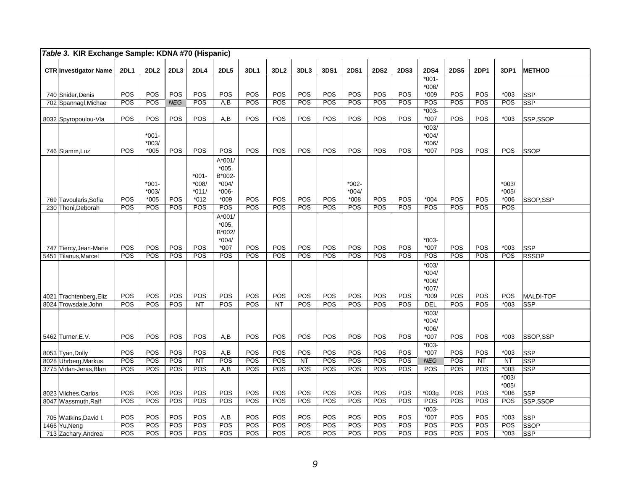| Table 3. KIR Exchange Sample: KDNA #70 (Hispanic) |             |                     |            |                  |                   |            |                  |            |            |             |             |             |                    |                   |            |                   |                         |
|---------------------------------------------------|-------------|---------------------|------------|------------------|-------------------|------------|------------------|------------|------------|-------------|-------------|-------------|--------------------|-------------------|------------|-------------------|-------------------------|
| <b>CTR Investigator Name</b>                      | <b>2DL1</b> | 2DL <sub>2</sub>    | 2DL3       | 2DL4             | <b>2DL5</b>       | 3DL1       | 3DL <sub>2</sub> | 3DL3       | 3DS1       | <b>2DS1</b> | <b>2DS2</b> | <b>2DS3</b> | <b>2DS4</b>        | <b>2DS5</b>       | 2DP1       | 3DP1              | <b>METHOD</b>           |
|                                                   |             |                     |            |                  |                   |            |                  |            |            |             |             |             | $*001 -$           |                   |            |                   |                         |
|                                                   |             |                     |            |                  |                   |            |                  |            |            |             |             |             | $*006/$            |                   |            |                   |                         |
| 740 Snider, Denis                                 | POS         | POS                 | POS        | POS              | POS               | POS        | POS              | POS        | POS        | POS         | POS         | POS         | $*009$             | POS               | POS        | $*003$            | <b>SSP</b>              |
| 702 Spannagl, Michae                              | POS         | POS                 | <b>NEG</b> | POS              | A.B               | POS        | POS              | POS        | POS        | POS         | POS         | POS         | POS                | <b>POS</b>        | POS        | POS               | <b>SSP</b>              |
|                                                   |             |                     |            |                  |                   |            |                  |            |            |             |             |             | $*003-$            |                   |            |                   |                         |
| 8032 Spyropoulou-Vla                              | POS         | POS                 | POS        | POS              | A,B               | POS        | POS              | POS        | POS        | POS         | POS         | POS         | $*007$             | POS               | POS        | $*003$            | SSP,SSOP                |
|                                                   |             |                     |            |                  |                   |            |                  |            |            |             |             |             | $*003/$            |                   |            |                   |                         |
|                                                   |             | $*001 -$<br>$*003/$ |            |                  |                   |            |                  |            |            |             |             |             | $*004/$<br>$*006/$ |                   |            |                   |                         |
| 746 Stamm, Luz                                    | POS         | $*005$              | POS        | POS              | POS               | POS        | POS              | POS        | POS        | POS         | POS         | POS         | $*007$             | POS               | POS        | POS               | <b>SSOP</b>             |
|                                                   |             |                     |            |                  | $A*001/$          |            |                  |            |            |             |             |             |                    |                   |            |                   |                         |
|                                                   |             |                     |            |                  | $*005,$           |            |                  |            |            |             |             |             |                    |                   |            |                   |                         |
|                                                   |             |                     |            | $*001 -$         | B*002-            |            |                  |            |            |             |             |             |                    |                   |            |                   |                         |
|                                                   |             | $*001 -$            |            | $*008/$          | $*004/$           |            |                  |            |            | $*002-$     |             |             |                    |                   |            | $*003/$           |                         |
|                                                   |             | $*003/$             |            | $*011/$          | $*006-$           |            |                  |            |            | $*004/$     |             |             |                    |                   |            | $*005/$           |                         |
| 769 Tavoularis, Sofia                             | POS         | $*005$              | POS        | $*012$           | $*009$            | POS        | POS              | POS        | POS        | $*008$      | POS         | POS         | $*004$             | POS               | POS        | $*006$            | SSOP.SSP                |
| 230 Thoni, Deborah                                | POS         | <b>POS</b>          | <b>POS</b> | <b>POS</b>       | POS               | POS        | POS              | POS        | <b>POS</b> | <b>POS</b>  | POS         | POS         | POS                | POS               | POS        | <b>POS</b>        |                         |
|                                                   |             |                     |            |                  | A*001/            |            |                  |            |            |             |             |             |                    |                   |            |                   |                         |
|                                                   |             |                     |            |                  | $*005.$<br>B*002/ |            |                  |            |            |             |             |             |                    |                   |            |                   |                         |
|                                                   |             |                     |            |                  | $*004/$           |            |                  |            |            |             |             |             | $*003-$            |                   |            |                   |                         |
| 747 Tiercy, Jean-Marie                            | POS         | POS                 | POS        | POS              | *007              | POS        | POS              | POS        | POS        | POS         | POS         | POS         | *007               | POS               | POS        | $*003$            | <b>SSP</b>              |
| 5451 Tilanus, Marcel                              | POS         | POS                 | POS        | POS              | POS               | POS        | POS              | POS        | POS        | <b>POS</b>  | POS         | POS         | POS                | <b>POS</b>        | POS        | POS               | <b>RSSOP</b>            |
|                                                   |             |                     |            |                  |                   |            |                  |            |            |             |             |             | $*003/$            |                   |            |                   |                         |
|                                                   |             |                     |            |                  |                   |            |                  |            |            |             |             |             | $*004/$            |                   |            |                   |                         |
|                                                   |             |                     |            |                  |                   |            |                  |            |            |             |             |             | $*006/$            |                   |            |                   |                         |
|                                                   |             |                     |            |                  |                   |            |                  |            |            |             |             |             | $*007/$            |                   |            |                   |                         |
| 4021 Trachtenberg, Eliz<br>8024 Trowsdale.John    | POS<br>POS  | POS<br>POS          | POS<br>POS | POS<br><b>NT</b> | POS<br>POS        | POS<br>POS | POS<br><b>NT</b> | POS<br>POS | POS<br>POS | POS<br>POS  | POS<br>POS  | POS<br>POS  | *009<br>DEL        | POS<br><b>POS</b> | POS<br>POS | POS<br>$*003$     | MALDI-TOF<br><b>SSP</b> |
|                                                   |             |                     |            |                  |                   |            |                  |            |            |             |             |             | $*003/$            |                   |            |                   |                         |
|                                                   |             |                     |            |                  |                   |            |                  |            |            |             |             |             | $*004/$            |                   |            |                   |                         |
|                                                   |             |                     |            |                  |                   |            |                  |            |            |             |             |             | $*006/$            |                   |            |                   |                         |
| 5462 Turner, E.V.                                 | POS         | POS                 | POS        | POS              | A, B              | POS        | POS              | POS        | POS        | POS         | POS         | POS         | $*007$             | POS               | POS        | $*003$            | SSOP.SSP                |
|                                                   |             |                     |            |                  |                   |            |                  |            |            |             |             |             | $*003-$            |                   |            |                   |                         |
| 8053 Tyan, Dolly                                  | POS         | POS                 | POS        | POS              | A, B              | POS        | POS              | POS        | POS        | POS         | POS         | POS         | $*007$             | POS               | POS        | $*003$            | <b>SSP</b>              |
| 8028 Uhrberg, Markus                              | POS         | POS                 | POS        | NT               | POS               | POS        | POS              | NT         | POS        | POS         | POS         | POS         | <b>NEG</b>         | POS               | <b>NT</b>  | NT                | SSP                     |
| 3775 Vidan-Jeras, Blan                            | POS         | POS                 | POS        | POS              | A, B              | POS        | POS              | POS        | POS        | POS         | POS         | POS         | POS                | POS               | POS        | $*003$            | SSP                     |
|                                                   |             |                     |            |                  |                   |            |                  |            |            |             |             |             |                    |                   |            | $*003/$           |                         |
| 8023 Vilches, Carlos                              | POS         | POS                 | POS        | POS              | POS               | POS        | POS              | POS        | POS        | POS         | POS         | POS         | $*003g$            | POS               | POS        | $*005/$<br>$*006$ | SSP                     |
| 8047 Wassmuth, Ralf                               | POS         | POS                 | POS        | POS              | POS               | POS        | POS              | POS        | POS        | POS         | POS         | POS         | POS                | POS               | POS        | POS               | SSP,SSOP                |
|                                                   |             |                     |            |                  |                   |            |                  |            |            |             |             |             | $*003-$            |                   |            |                   |                         |
| 705 Watkins, David I.                             | POS         | POS                 | POS        | POS              | A,B               | POS        | POS              | POS        | POS        | POS         | POS         | POS         | $*007$             | POS               | POS        | $*003$            | SSP                     |
| 1466 Yu, Neng                                     | <b>POS</b>  | <b>POS</b>          | POS        | POS              | POS               | POS        | POS              | POS        | POS        | POS         | POS         | POS         | <b>POS</b>         | <b>POS</b>        | POS        | POS               | SSOP                    |
| 713 Zachary, Andrea                               | POS         | POS                 | POS        | POS              | POS               | POS        | POS              | POS        | POS        | POS         | POS         | POS         | POS                | POS               | POS        | $*003$            | SSP                     |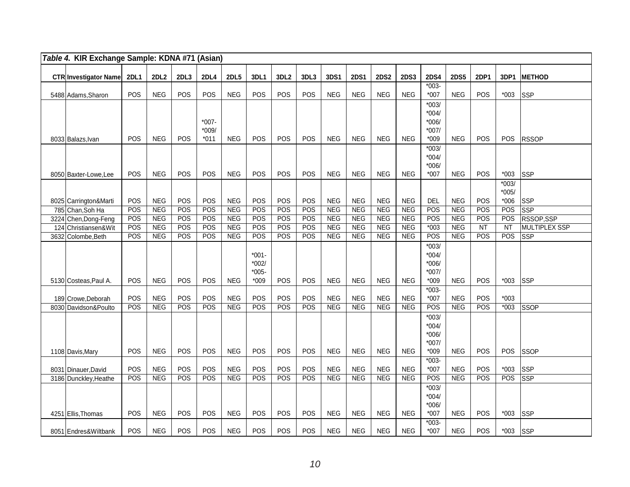| Table 4. KIR Exchange Sample: KDNA #71 (Asian) |             |                   |            |                  |                          |                     |                  |                  |                          |                   |                          |                   |                    |                          |            |                   |                          |
|------------------------------------------------|-------------|-------------------|------------|------------------|--------------------------|---------------------|------------------|------------------|--------------------------|-------------------|--------------------------|-------------------|--------------------|--------------------------|------------|-------------------|--------------------------|
| <b>CTR Investigator Name</b>                   | <b>2DL1</b> | <b>2DL2</b>       | 2DL3       | <b>2DL4</b>      | <b>2DL5</b>              | 3DL1                | 3DL <sub>2</sub> | 3DL3             | 3DS1                     | <b>2DS1</b>       | <b>2DS2</b>              | <b>2DS3</b>       | <b>2DS4</b>        | <b>2DS5</b>              | 2DP1       | 3DP1              | <b>METHOD</b>            |
| 5488 Adams, Sharon                             | POS         | <b>NEG</b>        | POS        | <b>POS</b>       | <b>NEG</b>               | POS                 | POS              | <b>POS</b>       | <b>NEG</b>               | <b>NEG</b>        | <b>NEG</b>               | <b>NEG</b>        | $*003-$<br>$*007$  | <b>NEG</b>               | POS        | $*003$            | <b>SSP</b>               |
|                                                |             |                   |            |                  |                          |                     |                  |                  |                          |                   |                          |                   | $*003/$<br>$*004/$ |                          |            |                   |                          |
|                                                |             |                   |            | $*007-$          |                          |                     |                  |                  |                          |                   |                          |                   | $*006/$            |                          |            |                   |                          |
|                                                |             |                   |            | $*009/$          |                          |                     |                  |                  |                          |                   |                          |                   | $*007/$            |                          |            |                   |                          |
| 8033 Balazs, Ivan                              | POS         | <b>NEG</b>        | POS        | $*011$           | <b>NEG</b>               | POS                 | POS              | POS              | <b>NEG</b>               | <b>NEG</b>        | <b>NEG</b>               | <b>NEG</b>        | $*009$             | <b>NEG</b>               | POS        | POS               | <b>RSSOP</b>             |
|                                                |             |                   |            |                  |                          |                     |                  |                  |                          |                   |                          |                   | $*003/$<br>$*004/$ |                          |            |                   |                          |
|                                                |             |                   |            |                  |                          |                     |                  |                  |                          |                   |                          |                   | $*006/$            |                          |            |                   |                          |
| 8050 Baxter-Lowe, Lee                          | POS         | <b>NEG</b>        | POS        | POS              | <b>NEG</b>               | POS                 | POS              | POS              | <b>NEG</b>               | <b>NEG</b>        | <b>NEG</b>               | <b>NEG</b>        | $*007$             | <b>NEG</b>               | POS        | $*003$            | <b>SSP</b>               |
|                                                |             |                   |            |                  |                          |                     |                  |                  |                          |                   |                          |                   |                    |                          |            | $*003/$           |                          |
| 8025 Carrington&Marti                          | POS         | <b>NEG</b>        | POS        | POS              | <b>NEG</b>               | POS                 | POS              | POS              | <b>NEG</b>               | <b>NEG</b>        | <b>NEG</b>               | <b>NEG</b>        | <b>DEL</b>         | <b>NEG</b>               | POS        | $*005/$<br>$*006$ | <b>SSP</b>               |
| 785 Chan, Soh Ha                               | POS         | NEG               | POS        | $\overline{POS}$ | <b>NEG</b>               | POS                 | POS              | $\overline{POS}$ | <b>NEG</b>               | <b>NEG</b>        | <b>NEG</b>               | <b>NEG</b>        | <b>POS</b>         | <b>NEG</b>               | POS        | POS               | <b>SSP</b>               |
| 3224 Chen, Dong-Feng                           | POS         | <b>NEG</b>        | POS        | POS              | <b>NEG</b>               | POS                 | POS              | POS              | <b>NEG</b>               | <b>NEG</b>        | <b>NEG</b>               | <b>NEG</b>        | POS                | <b>NEG</b>               | POS        | POS               | RSSOP,SSP                |
| 124 Christiansen&Wit                           | POS         | <b>NEG</b>        | POS        | POS              | <b>NEG</b>               | POS                 | POS              | POS              | <b>NEG</b>               | <b>NEG</b>        | <b>NEG</b>               | <b>NEG</b>        | $*003$             | <b>NEG</b>               | <b>NT</b>  | <b>NT</b>         | <b>MULTIPLEX SSP</b>     |
| 3632 Colombe, Beth                             | POS         | <b>NEG</b>        | POS        | POS              | <b>NEG</b>               | POS                 | POS              | <b>POS</b>       | <b>NEG</b>               | NEG               | <b>NEG</b>               | <b>NEG</b>        | POS                | <b>NEG</b>               | POS        | POS               | <b>SSP</b>               |
|                                                |             |                   |            |                  |                          |                     |                  |                  |                          |                   |                          |                   | $*003/$            |                          |            |                   |                          |
|                                                |             |                   |            |                  |                          | $*001 -$<br>$*002/$ |                  |                  |                          |                   |                          |                   | $*004/$<br>*006/   |                          |            |                   |                          |
|                                                |             |                   |            |                  |                          | $*005-$             |                  |                  |                          |                   |                          |                   | $*007/$            |                          |            |                   |                          |
| 5130 Costeas, Paul A.                          | <b>POS</b>  | <b>NEG</b>        | <b>POS</b> | <b>POS</b>       | <b>NEG</b>               | $*009$              | <b>POS</b>       | <b>POS</b>       | <b>NEG</b>               | <b>NEG</b>        | <b>NEG</b>               | <b>NEG</b>        | $*009$             | <b>NEG</b>               | <b>POS</b> | $*003$            | <b>SSP</b>               |
|                                                |             |                   |            |                  |                          |                     |                  |                  |                          |                   |                          |                   | $*003-$            |                          |            |                   |                          |
| 189 Crowe, Deborah                             | POS         | <b>NEG</b>        | POS        | POS              | <b>NEG</b>               | POS                 | POS              | POS              | <b>NEG</b>               | <b>NEG</b>        | <b>NEG</b>               | <b>NEG</b>        | $*007$             | <b>NEG</b>               | POS        | $*003$            |                          |
| 8030 Davidson&Poulto                           | POS         | NEG               | POS        | POS              | <b>NEG</b>               | POS                 | POS              | POS              | <b>NEG</b>               | <b>NEG</b>        | <b>NEG</b>               | <b>NEG</b>        | POS                | <b>NEG</b>               | POS        | $*003$            | <b>SSOP</b>              |
|                                                |             |                   |            |                  |                          |                     |                  |                  |                          |                   |                          |                   | $*003/$<br>$*004/$ |                          |            |                   |                          |
|                                                |             |                   |            |                  |                          |                     |                  |                  |                          |                   |                          |                   | *006/              |                          |            |                   |                          |
|                                                |             |                   |            |                  |                          |                     |                  |                  |                          |                   |                          |                   | $*007/$            |                          |            |                   |                          |
| 1108 Davis, Mary                               | <b>POS</b>  | <b>NEG</b>        | <b>POS</b> | <b>POS</b>       | <b>NEG</b>               | POS                 | <b>POS</b>       | <b>POS</b>       | <b>NEG</b>               | <b>NEG</b>        | <b>NEG</b>               | <b>NEG</b>        | $*009$             | <b>NEG</b>               | <b>POS</b> | POS               | <b>SSOP</b>              |
|                                                |             |                   |            |                  |                          |                     |                  |                  |                          |                   |                          |                   | $*003-$            |                          |            |                   |                          |
| 8031 Dinauer, David<br>3186 Dunckley, Heathe   | POS<br>POS  | <b>NEG</b><br>NEG | POS<br>POS | POS<br>POS       | <b>NEG</b><br><b>NEG</b> | POS<br>POS          | POS<br>POS       | POS<br>POS       | <b>NEG</b><br><b>NEG</b> | <b>NEG</b><br>NEG | <b>NEG</b><br><b>NEG</b> | <b>NEG</b><br>NEG | $*007$<br>POS      | <b>NEG</b><br><b>NEG</b> | POS<br>POS | $*003$<br>POS     | <b>SSP</b><br><b>SSP</b> |
|                                                |             |                   |            |                  |                          |                     |                  |                  |                          |                   |                          |                   | $*003/$            |                          |            |                   |                          |
|                                                |             |                   |            |                  |                          |                     |                  |                  |                          |                   |                          |                   | $*004/$            |                          |            |                   |                          |
|                                                |             |                   |            |                  |                          |                     |                  |                  |                          |                   |                          |                   | $*006/$            |                          |            |                   |                          |
| 4251 Ellis, Thomas                             | POS         | <b>NEG</b>        | POS        | POS              | <b>NEG</b>               | POS                 | POS              | <b>POS</b>       | <b>NEG</b>               | <b>NEG</b>        | <b>NEG</b>               | <b>NEG</b>        | $*007$             | <b>NEG</b>               | POS        | $*003$            | <b>SSP</b>               |
| 8051 Endres& Wiltbank                          | <b>POS</b>  | <b>NEG</b>        | POS        | POS              | <b>NEG</b>               | POS                 | POS              | POS              | <b>NEG</b>               | <b>NEG</b>        | <b>NEG</b>               | <b>NEG</b>        | $*003-$<br>$*007$  | <b>NEG</b>               | POS        | $*003$            | <b>SSP</b>               |
|                                                |             |                   |            |                  |                          |                     |                  |                  |                          |                   |                          |                   |                    |                          |            |                   |                          |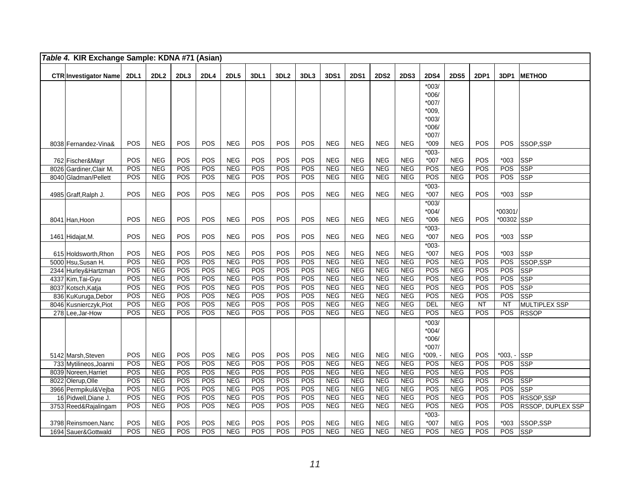| Table 4. KIR Exchange Sample: KDNA #71 (Asian) |            |                          |            |            |                          |            |                  |            |                   |                          |                          |                          |               |                          |             |               |                          |
|------------------------------------------------|------------|--------------------------|------------|------------|--------------------------|------------|------------------|------------|-------------------|--------------------------|--------------------------|--------------------------|---------------|--------------------------|-------------|---------------|--------------------------|
| CTR Investigator Name 2DL1                     |            | <b>2DL2</b>              | 2DL3       | 2DL4       | <b>2DL5</b>              | 3DL1       | 3DL <sub>2</sub> | 3DL3       | 3DS1              | <b>2DS1</b>              | <b>2DS2</b>              | <b>2DS3</b>              | <b>2DS4</b>   | <b>2DS5</b>              | <b>2DP1</b> | 3DP1          | <b>METHOD</b>            |
|                                                |            |                          |            |            |                          |            |                  |            |                   |                          |                          |                          | $*003/$       |                          |             |               |                          |
|                                                |            |                          |            |            |                          |            |                  |            |                   |                          |                          |                          | $*006/$       |                          |             |               |                          |
|                                                |            |                          |            |            |                          |            |                  |            |                   |                          |                          |                          | $*007/$       |                          |             |               |                          |
|                                                |            |                          |            |            |                          |            |                  |            |                   |                          |                          |                          | $*009,$       |                          |             |               |                          |
|                                                |            |                          |            |            |                          |            |                  |            |                   |                          |                          |                          | $*003/$       |                          |             |               |                          |
|                                                |            |                          |            |            |                          |            |                  |            |                   |                          |                          |                          | $*006/$       |                          |             |               |                          |
|                                                |            |                          |            |            |                          |            |                  |            |                   |                          |                          |                          | $*007/$       |                          |             |               |                          |
| 8038 Fernandez-Vina&                           | POS        | <b>NEG</b>               | POS        | <b>POS</b> | <b>NEG</b>               | POS        | POS              | POS        | <b>NEG</b>        | <b>NEG</b>               | <b>NEG</b>               | <b>NEG</b>               | $*009$        | <b>NEG</b>               | POS         | <b>POS</b>    | SSOP,SSP                 |
|                                                | POS        |                          |            | POS        | <b>NEG</b>               | POS        |                  | POS        | <b>NEG</b>        |                          | <b>NEG</b>               | <b>NEG</b>               | $*003-$       |                          | POS         |               |                          |
| 762 Fischer&Mayr<br>8026 Gardiner, Clair M.    | POS        | <b>NEG</b><br><b>NEG</b> | POS<br>POS | POS        | <b>NEG</b>               | POS        | POS<br>POS       | POS        | <b>NEG</b>        | <b>NEG</b><br><b>NEG</b> | <b>NEG</b>               | <b>NEG</b>               | $*007$<br>POS | <b>NEG</b><br><b>NEG</b> | POS         | $*003$<br>POS | <b>SSP</b><br><b>SSP</b> |
| 8040 Gladman/Pellett                           | POS        | <b>NEG</b>               | POS        | POS        | <b>NEG</b>               | POS        | POS              | POS        | <b>NEG</b>        | <b>NEG</b>               | <b>NEG</b>               | <b>NEG</b>               | POS           | <b>NEG</b>               | POS         | POS           | SSP                      |
|                                                |            |                          |            |            |                          |            |                  |            |                   |                          |                          |                          | $*003-$       |                          |             |               |                          |
| 4985 Graff, Ralph J.                           | POS        | <b>NEG</b>               | POS        | POS        | <b>NEG</b>               | POS        | POS              | POS        | <b>NEG</b>        | <b>NEG</b>               | <b>NEG</b>               | <b>NEG</b>               | $*007$        | <b>NEG</b>               | POS         | $*003$        | SSP                      |
|                                                |            |                          |            |            |                          |            |                  |            |                   |                          |                          |                          | $*003/$       |                          |             |               |                          |
|                                                |            |                          |            |            |                          |            |                  |            |                   |                          |                          |                          | $*004/$       |                          |             | *00301/       |                          |
| 8041 Han, Hoon                                 | POS        | <b>NEG</b>               | POS        | POS        | <b>NEG</b>               | POS        | POS              | POS        | <b>NEG</b>        | <b>NEG</b>               | <b>NEG</b>               | <b>NEG</b>               | $*006$        | <b>NEG</b>               | POS         | *00302 SSP    |                          |
|                                                |            |                          |            |            |                          |            |                  |            |                   |                          |                          |                          | $*003-$       |                          |             |               |                          |
| 1461 Hidajat, M.                               | POS        | <b>NEG</b>               | POS        | POS        | <b>NEG</b>               | POS        | POS              | POS        | <b>NEG</b>        | <b>NEG</b>               | <b>NEG</b>               | <b>NEG</b>               | $*007$        | <b>NEG</b>               | POS         | $*003$        | <b>SSP</b>               |
|                                                |            |                          |            |            |                          |            |                  |            |                   |                          |                          |                          | $*003-$       |                          |             |               |                          |
| 615 Holdsworth, Rhon                           | POS        | <b>NEG</b>               | POS        | POS        | <b>NEG</b>               | POS        | POS              | POS        | <b>NEG</b>        | <b>NEG</b>               | <b>NEG</b>               | <b>NEG</b>               | $*007$        | <b>NEG</b>               | POS         | $*003$        | <b>SSP</b>               |
| 5000 Hsu, Susan H.                             | POS        | <b>NEG</b>               | POS        | POS        | <b>NEG</b>               | POS        | POS              | POS        | NEG               | NEG                      | NEG                      | <b>NEG</b>               | POS           | <b>NEG</b>               | POS         | POS           | SSOP,SSP                 |
| 2344 Hurley&Hartzman                           | POS        | <b>NEG</b>               | POS        | POS        | <b>NEG</b>               | POS        | POS              | POS        | <b>NEG</b>        | <b>NEG</b>               | <b>NEG</b>               | <b>NEG</b>               | POS           | <b>NEG</b>               | POS         | POS           | <b>SSP</b>               |
| 4337 Kim, Tai-Gyu                              | POS<br>POS | NEG                      | POS<br>POS | POS        | NEG                      | POS<br>POS | POS              | POS        | NEG<br><b>NEG</b> | NEG                      | NEG                      | NEG                      | POS           | NEG                      | POS         | POS           | <b>SSP</b>               |
| 8037 Kotsch, Katja                             | POS        | <b>NEG</b><br><b>NEG</b> | POS        | POS<br>POS | <b>NEG</b><br><b>NEG</b> | POS        | POS<br>POS       | POS<br>POS | <b>NEG</b>        | <b>NEG</b><br><b>NEG</b> | <b>NEG</b><br><b>NEG</b> | <b>NEG</b><br><b>NEG</b> | POS<br>POS    | <b>NEG</b><br><b>NEG</b> | POS<br>POS  | POS<br>POS    | <b>SSP</b><br><b>SSP</b> |
| 836 KuKuruga, Debor<br>8046 Kusnierczyk, Piot  | POS        | NEG                      | POS        | POS        | <b>NEG</b>               | POS        | POS              | POS        | <b>NEG</b>        | <b>NEG</b>               | <b>NEG</b>               | <b>NEG</b>               | DEL           | <b>NEG</b>               | NT          | <b>NT</b>     | <b>MULTIPLEX SSP</b>     |
| 278 Lee, Jar-How                               | POS        | <b>NEG</b>               | POS        | POS        | <b>NEG</b>               | POS        | POS              | POS        | <b>NEG</b>        | <b>NEG</b>               | <b>NEG</b>               | <b>NEG</b>               | POS           | <b>NEG</b>               | POS         | POS           | <b>RSSOP</b>             |
|                                                |            |                          |            |            |                          |            |                  |            |                   |                          |                          |                          | $*003/$       |                          |             |               |                          |
|                                                |            |                          |            |            |                          |            |                  |            |                   |                          |                          |                          | $*004/$       |                          |             |               |                          |
|                                                |            |                          |            |            |                          |            |                  |            |                   |                          |                          |                          | $*006/$       |                          |             |               |                          |
|                                                |            |                          |            |            |                          |            |                  |            |                   |                          |                          |                          | $*007/$       |                          |             |               |                          |
| 5142 Marsh, Steven                             | POS        | <b>NEG</b>               | POS        | POS        | <b>NEG</b>               | POS        | POS              | POS        | <b>NEG</b>        | <b>NEG</b>               | <b>NEG</b>               | <b>NEG</b>               | $*009, -$     | <b>NEG</b>               | POS         | *003, - SSP   |                          |
| 733 Mytilineos, Joanni                         | POS        | <b>NEG</b>               | POS        | POS        | <b>NEG</b>               | POS        | POS              | POS        | <b>NEG</b>        | <b>NEG</b>               | <b>NEG</b>               | <b>NEG</b>               | POS           | <b>NEG</b>               | POS         | POS           | <b>SSP</b>               |
| 8039 Noreen, Harriet                           | POS        | <b>NEG</b>               | POS        | POS        | <b>NEG</b>               | POS        | POS              | POS        | NEG               | <b>NEG</b>               | <b>NEG</b>               | <b>NEG</b>               | POS           | <b>NEG</b>               | POS         | POS           |                          |
| 8022 Olerup, Olle                              | POS        | <b>NEG</b>               | POS        | POS        | <b>NEG</b>               | POS        | POS              | POS        | <b>NEG</b>        | <b>NEG</b>               | <b>NEG</b>               | <b>NEG</b>               | POS           | <b>NEG</b>               | POS         | POS           | <b>SSP</b>               |
| 3966 Permpikul&Vejba                           | POS        | <b>NEG</b>               | POS        | POS        | <b>NEG</b>               | POS        | POS              | POS        | <b>NEG</b>        | <b>NEG</b>               | <b>NEG</b>               | <b>NEG</b>               | POS           | <b>NEG</b>               | POS         | POS           | <b>SSP</b>               |
| 16 Pidwell, Diane J.                           | POS        | <b>NEG</b>               | POS        | POS        | <b>NEG</b>               | POS        | POS              | POS        | <b>NEG</b>        | <b>NEG</b>               | <b>NEG</b>               | <b>NEG</b>               | POS           | <b>NEG</b>               | POS         | POS           | RSSOP, SSP               |
| 3753 Reed&Rajalingam                           | POS        | <b>NEG</b>               | POS        | POS        | <b>NEG</b>               | POS        | POS              | POS        | <b>NEG</b>        | <b>NEG</b>               | <b>NEG</b>               | <b>NEG</b>               | POS           | <b>NEG</b>               | POS         | POS           | RSSOP, DUPLEX SSP        |
|                                                |            |                          |            |            |                          |            |                  |            |                   |                          |                          |                          | $*003-$       |                          |             |               |                          |
| 3798 Reinsmoen, Nanc                           | POS<br>POS | $NEG$                    | POS<br>POS | POS        | <b>NEG</b>               | POS<br>POS | POS              | POS        | <b>NEG</b>        | <b>NEG</b>               | <b>NEG</b>               | <b>NEG</b>               | $*007$        | <b>NEG</b>               | POS         | $*003$        | SSOP,SSP                 |
| 1694 Sauer&Gottwald                            |            | NEG                      |            | POS        | <b>NEG</b>               |            | POS              | POS        | <b>NEG</b>        | NEG                      | <b>NEG</b>               | <b>NEG</b>               | POS           | <b>NEG</b>               | POS         | POS           | <b>SSP</b>               |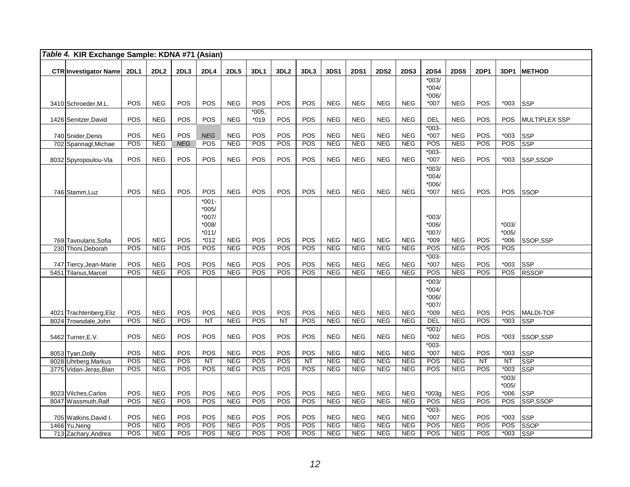|      | Table 4. KIR Exchange Sample: KDNA #71 (Asian) |             |                          |            |                   |                          |            |                  |                         |                          |                          |                          |                          |                       |                          |             |                     |                      |
|------|------------------------------------------------|-------------|--------------------------|------------|-------------------|--------------------------|------------|------------------|-------------------------|--------------------------|--------------------------|--------------------------|--------------------------|-----------------------|--------------------------|-------------|---------------------|----------------------|
|      | <b>CTR Investigator Name</b>                   | <b>2DL1</b> | 2DL <sub>2</sub>         | 2DL3       | <b>2DL4</b>       | <b>2DL5</b>              | 3DL1       | 3DL <sub>2</sub> | 3DL3                    | 3DS1                     | <b>2DS1</b>              | <b>2DS2</b>              | <b>2DS3</b>              | <b>2DS4</b>           | <b>2DS5</b>              | <b>2DP1</b> | 3DP1                | <b>METHOD</b>        |
|      |                                                |             |                          |            |                   |                          |            |                  |                         |                          |                          |                          |                          | $*003/$               |                          |             |                     |                      |
|      |                                                |             |                          |            |                   |                          |            |                  |                         |                          |                          |                          |                          | $*004/$<br>$*006/$    |                          |             |                     |                      |
|      | 3410 Schroeder, M.L.                           | POS         | <b>NEG</b>               | POS        | POS               | <b>NEG</b>               | POS        | POS              | <b>POS</b>              | <b>NEG</b>               | <b>NEG</b>               | <b>NEG</b>               | <b>NEG</b>               | $*007$                | <b>NEG</b>               | <b>POS</b>  | $*003$              | lssp                 |
|      |                                                |             |                          |            |                   |                          | $*005,$    |                  |                         |                          |                          |                          |                          |                       |                          |             |                     |                      |
|      | 1426 Senitzer, David                           | POS         | <b>NEG</b>               | POS        | POS               | <b>NEG</b>               | $*019$     | POS              | POS                     | <b>NEG</b>               | <b>NEG</b>               | <b>NEG</b>               | <b>NEG</b>               | <b>DEL</b><br>$*003-$ | <b>NEG</b>               | POS         | <b>POS</b>          | <b>MULTIPLEX SSP</b> |
|      | 740 Snider, Denis                              | POS         | <b>NEG</b>               | POS        | <b>NEG</b>        | <b>NEG</b>               | POS        | POS              | POS                     | <b>NEG</b>               | <b>NEG</b>               | <b>NEG</b>               | <b>NEG</b>               | *007                  | <b>NEG</b>               | POS         | $*003$              | <b>SSP</b>           |
|      | 702 Spannagl, Michae                           | POS         | <b>NEG</b>               | <b>NEG</b> | POS               | <b>NEG</b>               | POS        | POS              | POS                     | <b>NEG</b>               | <b>NEG</b>               | <b>NEG</b>               | <b>NEG</b>               | POS                   | NEG                      | POS         | POS                 | SSP                  |
|      |                                                | POS         | <b>NEG</b>               | POS        | POS               | <b>NEG</b>               | POS        | POS              | POS                     | <b>NEG</b>               | <b>NEG</b>               | <b>NEG</b>               |                          | $*003-$               | <b>NEG</b>               | POS         | $*003$              |                      |
|      | 8032 Spyropoulou-Vla                           |             |                          |            |                   |                          |            |                  |                         |                          |                          |                          | <b>NEG</b>               | *007<br>$*003/$       |                          |             |                     | SSP,SSOP             |
|      |                                                |             |                          |            |                   |                          |            |                  |                         |                          |                          |                          |                          | $*004/$               |                          |             |                     |                      |
|      |                                                |             |                          |            |                   |                          |            |                  |                         |                          |                          |                          |                          | *006/                 |                          |             |                     |                      |
|      | 746 Stamm.Luz                                  | POS         | <b>NEG</b>               | POS        | POS<br>$*001 -$   | <b>NEG</b>               | POS        | POS              | POS                     | <b>NEG</b>               | <b>NEG</b>               | <b>NEG</b>               | <b>NEG</b>               | $*007$                | <b>NEG</b>               | <b>POS</b>  | <b>POS</b>          | <b>SSOP</b>          |
|      |                                                |             |                          |            | $*005/$           |                          |            |                  |                         |                          |                          |                          |                          |                       |                          |             |                     |                      |
|      |                                                |             |                          |            | *007/             |                          |            |                  |                         |                          |                          |                          |                          | $*003/$               |                          |             |                     |                      |
|      |                                                |             |                          |            | *008/             |                          |            |                  |                         |                          |                          |                          |                          | *006/                 |                          |             | $*003/$<br>$*005/$  |                      |
|      | 769 Tavoularis, Sofia                          | POS         | <b>NEG</b>               | POS        | $*011/$<br>$*012$ | <b>NEG</b>               | POS        | POS              | POS                     | <b>NEG</b>               | <b>NEG</b>               | <b>NEG</b>               | <b>NEG</b>               | *007/<br>$*009$       | <b>NEG</b>               | POS         | $*006$              | SSOP.SSP             |
|      | 230 Thoni.Deborah                              | POS         | <b>NEG</b>               | <b>POS</b> | <b>POS</b>        | <b>NEG</b>               | POS        | POS              | POS                     | NEG                      | <b>NEG</b>               | <b>NEG</b>               | <b>NEG</b>               | POS                   | <b>NEG</b>               | <b>POS</b>  | <b>POS</b>          |                      |
|      |                                                |             |                          |            |                   |                          |            |                  |                         |                          |                          |                          |                          | $*003-$               |                          |             |                     |                      |
|      | 747 Tiercy, Jean-Marie                         | POS         | <b>NEG</b>               | POS        | POS               | <b>NEG</b>               | POS        | POS              | POS                     | <b>NEG</b>               | <b>NEG</b>               | <b>NEG</b>               | <b>NEG</b>               | *007                  | <b>NEG</b>               | POS         | $*003$              | <b>SSP</b>           |
|      | 5451 Tilanus, Marcel                           | POS         | <b>NEG</b>               | POS        | POS               | <b>NEG</b>               | <b>POS</b> | POS              | <b>POS</b>              | <b>NEG</b>               | <b>NEG</b>               | <b>NEG</b>               | <b>NEG</b>               | POS<br>$*003/$        | <b>NEG</b>               | POS         | <b>POS</b>          | <b>RSSOP</b>         |
|      |                                                |             |                          |            |                   |                          |            |                  |                         |                          |                          |                          |                          | $*004/$               |                          |             |                     |                      |
|      |                                                |             |                          |            |                   |                          |            |                  |                         |                          |                          |                          |                          | *006/                 |                          |             |                     |                      |
|      |                                                |             |                          |            |                   |                          |            |                  |                         |                          |                          |                          |                          | $*007/$               |                          |             |                     |                      |
|      | 4021 Trachtenberg, Eliz                        | POS<br>POS  | <b>NEG</b><br>NEG        | POS<br>POS | POS<br>NT         | <b>NEG</b><br><b>NEG</b> | POS<br>POS | POS<br><b>NT</b> | POS<br>POS              | <b>NEG</b><br><b>NEG</b> | <b>NEG</b><br><b>NEG</b> | <b>NEG</b><br><b>NEG</b> | <b>NEG</b><br><b>NEG</b> | $*009$<br>DEL         | <b>NEG</b><br><b>NEG</b> | POS<br>POS  | POS<br>$*003$       | MALDI-TOF<br>SSP     |
| 8024 | Trowsdale, John                                |             |                          |            |                   |                          |            |                  |                         |                          |                          |                          |                          | $*001/$               |                          |             |                     |                      |
|      | 5462 Turner, E.V.                              | POS         | <b>NEG</b>               | POS        | POS               | <b>NEG</b>               | POS        | POS              | POS                     | <b>NEG</b>               | <b>NEG</b>               | <b>NEG</b>               | <b>NEG</b>               | $*002$                | <b>NEG</b>               | POS         | $*003$              | SSOP.SSP             |
|      |                                                |             |                          |            |                   |                          |            |                  |                         |                          |                          |                          |                          | $*003-$               |                          |             |                     |                      |
|      | 8053 Tyan, Dolly                               | POS<br>POS  | <b>NEG</b>               | POS<br>POS | POS               | <b>NEG</b>               | POS<br>POS | POS<br>POS       | POS                     | <b>NEG</b>               | <b>NEG</b>               | <b>NEG</b><br><b>NEG</b> | <b>NEG</b>               | *007                  | <b>NEG</b>               | POS         | $*003$              | <b>SSP</b>           |
|      | 8028 Uhrberg, Markus<br>3775 Vidan-Jeras, Blan | POS         | <b>NEG</b><br><b>NEG</b> | POS        | <b>NT</b><br>POS  | <b>NEG</b><br><b>NEG</b> | <b>POS</b> | <b>POS</b>       | <b>NT</b><br><b>POS</b> | <b>NEG</b><br><b>NEG</b> | <b>NEG</b><br><b>NEG</b> | <b>NEG</b>               | <b>NEG</b><br><b>NEG</b> | POS<br>POS            | <b>NEG</b><br><b>NEG</b> | NT<br>POS   | <b>NT</b><br>$*003$ | SSP<br>SSP           |
|      |                                                |             |                          |            |                   |                          |            |                  |                         |                          |                          |                          |                          |                       |                          |             | $*003/$             |                      |
|      |                                                |             |                          |            |                   |                          |            |                  |                         |                          |                          |                          |                          |                       |                          |             | *005/               |                      |
|      | 8023 Vilches, Carlos                           | POS         | <b>NEG</b>               | POS        | POS               | <b>NEG</b>               | POS        | POS              | POS                     | <b>NEG</b>               | <b>NEG</b>               | <b>NEG</b>               | <b>NEG</b>               | $*003g$               | <b>NEG</b>               | POS         | $*006$              | <b>SSP</b>           |
|      | 8047 Wassmuth, Ralf                            | POS         | <b>NEG</b>               | POS        | <b>POS</b>        | <b>NEG</b>               | POS        | POS              | POS                     | <b>NEG</b>               | <b>NEG</b>               | <b>NEG</b>               | <b>NEG</b>               | POS<br>$*003-$        | <b>NEG</b>               | POS         | <b>POS</b>          | SSP,SSOP             |
|      | 705 Watkins, David I.                          | POS         | <b>NEG</b>               | POS        | POS               | <b>NEG</b>               | POS        | POS              | POS                     | <b>NEG</b>               | <b>NEG</b>               | <b>NEG</b>               | <b>NEG</b>               | $*007$                | <b>NEG</b>               | POS         | $*003$              | <b>SSP</b>           |
|      | 1466 Yu, Neng                                  | POS         | NEG                      | POS        | POS               | <b>NEG</b>               | POS        | POS              | POS                     | <b>NEG</b>               | <b>NEG</b>               | <b>NEG</b>               | <b>NEG</b>               | POS                   | NEG                      | POS         | POS                 | SSOP                 |
|      | 713 Zachary, Andrea                            | POS         | <b>NEG</b>               | POS        | POS               | <b>NEG</b>               | POS        | POS              | POS                     | <b>NEG</b>               | <b>NEG</b>               | <b>NEG</b>               | <b>NEG</b>               | POS                   | <b>NEG</b>               | POS         | *003                | SSP                  |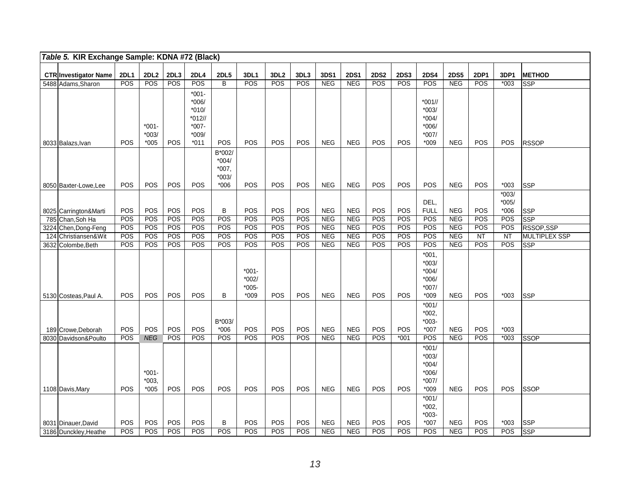| Table 5. KIR Exchange Sample: KDNA #72 (Black) |             |                               |      |                                                                        |                                                   |                                         |                  |      |            |             |             |             |                                                               |             |             |                    |               |
|------------------------------------------------|-------------|-------------------------------|------|------------------------------------------------------------------------|---------------------------------------------------|-----------------------------------------|------------------|------|------------|-------------|-------------|-------------|---------------------------------------------------------------|-------------|-------------|--------------------|---------------|
| <b>CTR</b> Investigator Name                   | <b>2DL1</b> | <b>2DL2</b>                   | 2DL3 | 2DL4                                                                   | <b>2DL5</b>                                       | 3DL1                                    | 3DL <sub>2</sub> | 3DL3 | 3DS1       | <b>2DS1</b> | <b>2DS2</b> | <b>2DS3</b> | <b>2DS4</b>                                                   | <b>2DS5</b> | <b>2DP1</b> | 3DP1               | <b>METHOD</b> |
| 5488 Adams, Sharon                             | POS         | <b>POS</b>                    | POS  | POS                                                                    | B                                                 | POS                                     | POS              | POS  | <b>NEG</b> | <b>NEG</b>  | POS         | POS         | POS                                                           | <b>NEG</b>  | POS         | $*003$             | <b>SSP</b>    |
| 8033 Balazs, Ivan                              | POS         | $*001 -$<br>$*003/$<br>$*005$ | POS  | $*001-$<br>$*006/$<br>$*010/$<br>$*012/$<br>$*007-$<br>*009/<br>$*011$ | POS                                               | POS                                     | <b>POS</b>       | POS  | <b>NEG</b> | <b>NEG</b>  | POS         | POS         | $*001/$<br>$*003/$<br>$*004/$<br>$*006/$<br>$*007/$<br>$*009$ | <b>NEG</b>  | <b>POS</b>  | <b>POS</b>         | <b>RSSOP</b>  |
| 8050 Baxter-Lowe, Lee                          | <b>POS</b>  | POS                           | POS  | POS                                                                    | B*002/<br>$*004/$<br>$*007,$<br>$*003/$<br>$*006$ | POS                                     | POS              | POS  | <b>NEG</b> | <b>NEG</b>  | POS         | POS         | POS                                                           | <b>NEG</b>  | <b>POS</b>  | $*003$             | <b>SSP</b>    |
|                                                |             |                               |      |                                                                        |                                                   |                                         |                  |      |            |             |             |             | DEL,                                                          |             |             | $*003/$<br>$*005/$ |               |
| 8025 Carrington&Marti                          | POS         | POS                           | POS  | POS                                                                    | B                                                 | POS                                     | POS              | POS  | <b>NEG</b> | <b>NEG</b>  | POS         | POS         | <b>FULL</b>                                                   | <b>NEG</b>  | POS         | $*006$             | <b>SSP</b>    |
| 785 Chan, Soh Ha                               | POS         | POS                           | POS  | POS                                                                    | POS                                               | POS                                     | POS              | POS  | NEG        | NEG         | POS         | POS         | POS                                                           | NEG         | POS         | POS                | <b>SSP</b>    |
| Chen, Dong-Feng<br>3224                        | POS         | POS                           | POS  | POS                                                                    | POS                                               | POS                                     | <b>POS</b>       | POS  | <b>NEG</b> | <b>NEG</b>  | POS         | POS         | POS                                                           | <b>NEG</b>  | POS         | <b>POS</b>         | RSSOP,SSP     |
| 124 Christiansen&Wit                           | POS         | POS                           | POS  | POS                                                                    | POS                                               | POS                                     | POS              | POS  | <b>NEG</b> | <b>NEG</b>  | POS         | POS         | POS                                                           | <b>NEG</b>  | NT          | <b>NT</b>          | MULTIPLEX SSP |
| 3632 Colombe, Beth                             | POS         | POS                           | POS  | POS                                                                    | POS                                               | POS                                     | POS              | POS  | <b>NEG</b> | <b>NEG</b>  | POS         | POS         | POS                                                           | <b>NEG</b>  | POS         | <b>POS</b>         | <b>SSP</b>    |
| 5130 Costeas, Paul A.                          | <b>POS</b>  | POS                           | POS  | POS                                                                    | B                                                 | $*001-$<br>$*002/$<br>$*005-$<br>$*009$ | POS              | POS  | <b>NEG</b> | <b>NEG</b>  | POS         | POS         | $*001,$<br>$*003/$<br>$*004/$<br>$*006/$<br>$*007/$<br>$*009$ | <b>NEG</b>  | POS         | $*003$             | <b>SSP</b>    |
| 189 Crowe, Deborah                             | POS         | POS                           | POS  | POS                                                                    | B*003/<br>$*006$                                  | POS                                     | POS              | POS  | <b>NEG</b> | <b>NEG</b>  | POS         | POS         | $*001/$<br>$*002,$<br>$*003-$<br>$*007$                       | <b>NEG</b>  | POS         | $*003$             |               |
| 8030 Davidson&Poulto                           | POS         | <b>NEG</b>                    | POS  | POS                                                                    | POS                                               | POS                                     | POS              | POS  | <b>NEG</b> | NEG         | POS         | $*001$      | POS                                                           | NEG         | POS         | $*003$             | SSOP          |
| 1108 Davis, Mary                               | <b>POS</b>  | $*001 -$<br>$*003,$<br>$*005$ | POS  | POS                                                                    | POS                                               | POS                                     | <b>POS</b>       | POS  | <b>NEG</b> | <b>NEG</b>  | <b>POS</b>  | POS         | $*001/$<br>$*003/$<br>$*004/$<br>$*006/$<br>$*007/$<br>$*009$ | <b>NEG</b>  | POS         | <b>POS</b>         | <b>ISSOP</b>  |
| 8031 Dinauer, David                            | POS         | POS                           | POS  | POS                                                                    | В                                                 | POS                                     | POS              | POS  | <b>NEG</b> | <b>NEG</b>  | POS         | POS         | $*001/$<br>$*002,$<br>$*003-$<br>$*007$                       | <b>NEG</b>  | POS         | $*003$             | <b>SSP</b>    |
| 3186 Dunckley, Heathe                          | POS         | POS                           | POS  | POS                                                                    | POS                                               | POS                                     | POS              | POS  | <b>NEG</b> | <b>NEG</b>  | POS         | POS         | POS                                                           | <b>NEG</b>  | POS         | POS                | <b>SSP</b>    |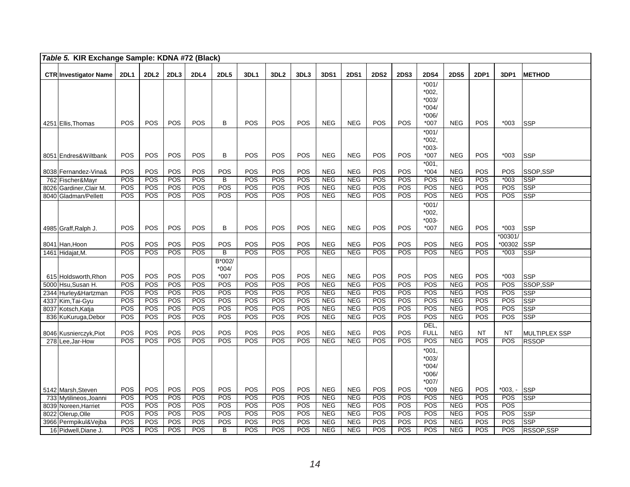| Table 5. KIR Exchange Sample: KDNA #72 (Black) |                   |                  |            |             |                       |            |                  |            |                          |                          |                   |             |                    |                          |                   |                   |                          |
|------------------------------------------------|-------------------|------------------|------------|-------------|-----------------------|------------|------------------|------------|--------------------------|--------------------------|-------------------|-------------|--------------------|--------------------------|-------------------|-------------------|--------------------------|
| <b>CTR Investigator Name</b>                   | <b>2DL1</b>       | 2DL <sub>2</sub> | 2DL3       | <b>2DL4</b> | <b>2DL5</b>           | 3DL1       | 3DL <sub>2</sub> | 3DL3       | 3DS1                     | <b>2DS1</b>              | <b>2DS2</b>       | <b>2DS3</b> | <b>2DS4</b>        | <b>2DS5</b>              | <b>2DP1</b>       | 3DP1              | <b>METHOD</b>            |
|                                                |                   |                  |            |             |                       |            |                  |            |                          |                          |                   |             | $*001/$            |                          |                   |                   |                          |
|                                                |                   |                  |            |             |                       |            |                  |            |                          |                          |                   |             | $*002.$            |                          |                   |                   |                          |
|                                                |                   |                  |            |             |                       |            |                  |            |                          |                          |                   |             | $*003/$            |                          |                   |                   |                          |
|                                                |                   |                  |            |             |                       |            |                  |            |                          |                          |                   |             | $*004/$            |                          |                   |                   |                          |
| 4251 Ellis, Thomas                             | POS               | <b>POS</b>       | POS        | POS         | B                     | <b>POS</b> | POS              | POS        | <b>NEG</b>               | <b>NEG</b>               | POS               | <b>POS</b>  | $*006/$<br>*007    | <b>NEG</b>               | POS               | $*003$            | <b>SSP</b>               |
|                                                |                   |                  |            |             |                       |            |                  |            |                          |                          |                   |             | $*001/$            |                          |                   |                   |                          |
|                                                |                   |                  |            |             |                       |            |                  |            |                          |                          |                   |             | $*002.$            |                          |                   |                   |                          |
|                                                |                   |                  |            |             |                       |            |                  |            |                          |                          |                   |             | $*003-$            |                          |                   |                   |                          |
| 8051 Endres& Wiltbank                          | POS               | POS              | POS        | POS         | B                     | POS        | <b>POS</b>       | POS        | <b>NEG</b>               | <b>NEG</b>               | POS               | POS         | *007               | <b>NEG</b>               | POS               | $*003$            | <b>SSP</b>               |
|                                                |                   |                  |            |             |                       |            |                  |            |                          |                          |                   |             | $*001.$            |                          |                   |                   |                          |
| 8038 Fernandez-Vina&<br>762 Fischer&Mayr       | POS<br>POS        | POS<br>POS       | POS<br>POS | POS<br>POS  | POS<br>B              | POS<br>POS | POS<br>POS       | POS<br>POS | <b>NEG</b><br>NEG        | <b>NEG</b><br><b>NEG</b> | POS<br><b>POS</b> | POS<br>POS  | $*004$<br>POS      | <b>NEG</b><br><b>NEG</b> | POS<br><b>POS</b> | POS<br>$*003$     | SSOP.SSP<br><b>SSP</b>   |
| 8026 Gardiner, Clair M.                        | $\overline{POS}$  | POS              | POS        | POS         | POS                   | POS        | POS              | POS        | <b>NEG</b>               | NEG                      | POS               | POS         | POS                | <b>NEG</b>               | POS               | POS               | <b>SSP</b>               |
| 8040 Gladman/Pellett                           | <b>POS</b>        | POS              | POS        | POS         | <b>POS</b>            | POS        | <b>POS</b>       | POS        | <b>NEG</b>               | <b>NEG</b>               | POS               | <b>POS</b>  | POS                | <b>NEG</b>               | <b>POS</b>        | <b>POS</b>        | <b>SSP</b>               |
|                                                |                   |                  |            |             |                       |            |                  |            |                          |                          |                   |             | $*001/$            |                          |                   |                   |                          |
|                                                |                   |                  |            |             |                       |            |                  |            |                          |                          |                   |             | $*002.$            |                          |                   |                   |                          |
|                                                |                   |                  |            |             |                       |            |                  |            |                          |                          |                   |             | $*003-$            |                          |                   |                   |                          |
| 4985 Graff,Ralph J.                            | POS               | POS              | POS        | POS         | В                     | <b>POS</b> | POS              | POS        | <b>NEG</b>               | <b>NEG</b>               | POS               | POS         | $*007$             | <b>NEG</b>               | <b>POS</b>        | $*003$            | <b>SSP</b>               |
|                                                |                   |                  |            |             |                       |            |                  |            |                          |                          |                   |             |                    |                          |                   | $*00301/$         |                          |
| 8041 Han, Hoon<br>1461 Hidajat, M.             | POS<br>POS        | POS<br>POS       | POS<br>POS | POS<br>POS  | POS<br>$\overline{B}$ | POS<br>POS | POS<br>POS       | POS<br>POS | <b>NEG</b><br>NEG        | <b>NEG</b><br><b>NEG</b> | POS<br>POS        | POS<br>POS  | POS<br>POS         | <b>NEG</b><br>NEG        | POS<br>POS        | *00302<br>$*003$  | <b>SSP</b><br><b>SSP</b> |
|                                                |                   |                  |            |             | B*002/                |            |                  |            |                          |                          |                   |             |                    |                          |                   |                   |                          |
|                                                |                   |                  |            |             | $*004/$               |            |                  |            |                          |                          |                   |             |                    |                          |                   |                   |                          |
| 615 Holdsworth, Rhon                           | POS               | POS              | POS        | POS         | $*007$                | POS        | POS              | POS        | <b>NEG</b>               | <b>NEG</b>               | POS               | POS         | POS                | <b>NEG</b>               | POS               | $*003$            | <b>SSP</b>               |
| 5000 Hsu, Susan H.                             | POS               | POS              | POS        | POS         | POS                   | POS        | POS              | POS        | <b>NEG</b>               | <b>NEG</b>               | POS               | POS         | POS                | <b>NEG</b>               | POS               | POS               | SSOP, SSP                |
| 2344 Hurley& Hartzman                          | POS               | POS              | POS        | <b>POS</b>  | POS                   | POS        | POS              | POS        | <b>NEG</b>               | <b>NEG</b>               | POS               | POS         | POS                | <b>NEG</b>               | POS               | POS               | <b>SSP</b>               |
| 4337 Kim, Tai-Gyu                              | POS<br><b>POS</b> | POS<br>POS       | POS<br>POS | POS<br>POS  | POS<br>POS            | POS<br>POS | POS<br>POS       | POS<br>POS | <b>NEG</b><br><b>NEG</b> | <b>NEG</b><br><b>NEG</b> | POS<br>POS        | POS<br>POS  | POS<br>POS         | <b>NEG</b><br><b>NEG</b> | POS<br>POS        | POS<br><b>POS</b> | <b>SSP</b><br><b>SSP</b> |
| 8037 Kotsch, Katja<br>836 KuKuruga, Debor      | POS               | POS              | POS        | POS         | POS                   | POS        | POS              | POS        | <b>NEG</b>               | <b>NEG</b>               | POS               | POS         | POS                | <b>NEG</b>               | <b>POS</b>        | POS               | <b>SSP</b>               |
|                                                |                   |                  |            |             |                       |            |                  |            |                          |                          |                   |             | DEL,               |                          |                   |                   |                          |
| 8046 Kusnierczyk, Piot                         | POS               | POS              | POS        | POS         | POS                   | POS        | POS              | POS        | <b>NEG</b>               | <b>NEG</b>               | POS               | POS         | <b>FULL</b>        | <b>NEG</b>               | <b>NT</b>         | <b>NT</b>         | <b>MULTIPLEX SSP</b>     |
| 278 Lee.Jar-How                                | POS               | POS              | POS        | POS         | POS                   | POS        | POS              | POS        | <b>NEG</b>               | <b>NEG</b>               | POS               | POS         | POS                | NEG                      | POS               | POS               | <b>RSSOP</b>             |
|                                                |                   |                  |            |             |                       |            |                  |            |                          |                          |                   |             | $*001.$            |                          |                   |                   |                          |
|                                                |                   |                  |            |             |                       |            |                  |            |                          |                          |                   |             | $*003/$            |                          |                   |                   |                          |
|                                                |                   |                  |            |             |                       |            |                  |            |                          |                          |                   |             | $*004/$            |                          |                   |                   |                          |
|                                                |                   |                  |            |             |                       |            |                  |            |                          |                          |                   |             | $*006/$<br>$*007/$ |                          |                   |                   |                          |
| 5142 Marsh, Steven                             | POS               | POS              | POS        | POS         | POS                   | <b>POS</b> | POS              | POS        | <b>NEG</b>               | <b>NEG</b>               | POS               | POS         | $*009$             | <b>NEG</b>               | <b>POS</b>        | $*003. -$         | <b>SSP</b>               |
| 733 Mytilineos, Joanni                         | <b>POS</b>        | POS              | POS        | POS         | <b>POS</b>            | POS        | POS              | POS        | <b>NEG</b>               | <b>NEG</b>               | POS               | POS         | POS                | <b>NEG</b>               | POS               | <b>POS</b>        | <b>SSP</b>               |
| 8039 Noreen, Harriet                           | POS               | POS              | POS        | POS         | POS                   | POS        | POS              | POS        | <b>NEG</b>               | <b>NEG</b>               | POS               | POS         | POS                | <b>NEG</b>               | POS               | POS               |                          |
| 8022 Olerup, Olle                              | POS               | POS              | POS        | POS         | POS                   | POS        | POS              | POS        | <b>NEG</b>               | <b>NEG</b>               | POS               | POS         | POS                | <b>NEG</b>               | POS               | POS               | <b>SSP</b>               |
| 3966 Permpikul&Vejba                           | POS               | POS              | POS        | POS         | POS                   | POS        | POS              | POS        | NEG                      | NEG                      | POS               | POS         | POS                | <b>NEG</b>               | POS               | POS               | <b>SSP</b>               |
| 16 Pidwell, Diane J.                           | <b>POS</b>        | POS              | POS        | <b>POS</b>  | B                     | <b>POS</b> | POS              | POS        | <b>NEG</b>               | <b>NEG</b>               | POS               | POS         | POS                | <b>NEG</b>               | <b>POS</b>        | POS               | RSSOP, SSP               |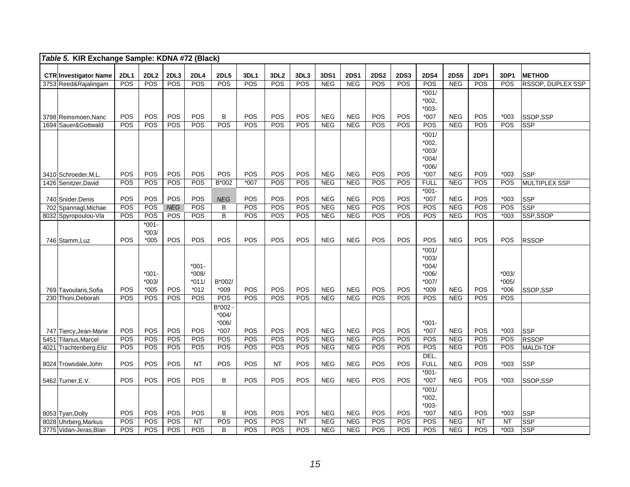| Table 5. KIR Exchange Sample: KDNA #72 (Black) |                              |                    |                    |                  |                    |                         |                  |                                |             |                    |                           |                    |                    |                    |                    |             |             |                          |
|------------------------------------------------|------------------------------|--------------------|--------------------|------------------|--------------------|-------------------------|------------------|--------------------------------|-------------|--------------------|---------------------------|--------------------|--------------------|--------------------|--------------------|-------------|-------------|--------------------------|
|                                                |                              |                    |                    |                  |                    |                         |                  |                                |             |                    |                           |                    |                    |                    |                    |             |             |                          |
|                                                | <b>CTR Investigator Name</b> | <b>2DL1</b><br>POS | <b>2DL2</b><br>POS | 2DL3<br>POS      | <b>2DL4</b><br>POS | <b>2DL5</b><br>POS      | 3DL1<br>POS      | 3DL <sub>2</sub><br><b>POS</b> | 3DL3<br>POS | 3DS1<br><b>NEG</b> | <b>2DS1</b><br><b>NEG</b> | <b>2DS2</b><br>POS | <b>2DS3</b><br>POS | <b>2DS4</b><br>POS | <b>2DS5</b><br>NEG | 2DP1<br>POS | 3DP1<br>POS | <b>METHOD</b>            |
|                                                | 3753 Reed&Rajalingam         |                    |                    |                  |                    |                         |                  |                                |             |                    |                           |                    |                    |                    |                    |             |             | <b>RSSOP, DUPLEX SSP</b> |
|                                                |                              |                    |                    |                  |                    |                         |                  |                                |             |                    |                           |                    |                    | $*001/$            |                    |             |             |                          |
|                                                |                              |                    |                    |                  |                    |                         |                  |                                |             |                    |                           |                    |                    | $*002,$<br>$*003-$ |                    |             |             |                          |
|                                                | 3798 Reinsmoen, Nanc         | <b>POS</b>         | <b>POS</b>         | POS              | POS                | B                       | POS              | POS                            | POS         | <b>NEG</b>         | <b>NEG</b>                | POS                | POS                | $*007$             | <b>NEG</b>         | POS         | $*003$      | SSOP.SSP                 |
|                                                | 1694 Sauer&Gottwald          | POS                | POS                | POS              | POS                | POS                     | POS              | POS                            | POS         | <b>NEG</b>         | <b>NEG</b>                | POS                | POS                | POS                | NEG                | POS         | POS         | SSP                      |
|                                                |                              |                    |                    |                  |                    |                         |                  |                                |             |                    |                           |                    |                    | $*001/$            |                    |             |             |                          |
|                                                |                              |                    |                    |                  |                    |                         |                  |                                |             |                    |                           |                    |                    | $*002,$            |                    |             |             |                          |
|                                                |                              |                    |                    |                  |                    |                         |                  |                                |             |                    |                           |                    |                    | $*003/$            |                    |             |             |                          |
|                                                |                              |                    |                    |                  |                    |                         |                  |                                |             |                    |                           |                    |                    | $*004/$            |                    |             |             |                          |
|                                                |                              |                    |                    |                  |                    |                         |                  |                                |             |                    |                           |                    |                    | $*006/$            |                    |             |             |                          |
|                                                | 3410 Schroeder, M.L.         | <b>POS</b>         | <b>POS</b>         | POS              | POS                | <b>POS</b>              | POS              | POS                            | POS         | <b>NEG</b>         | <b>NEG</b>                | <b>POS</b>         | POS                | $*007$             | <b>NEG</b>         | POS         | $*003$      | <b>SSP</b>               |
|                                                | 1426 Senitzer, David         | POS                | POS                | POS              | POS                | $B*002$                 | $*007$           | POS                            | POS         | <b>NEG</b>         | <b>NEG</b>                | POS                | POS                | <b>FULL</b>        | <b>NEG</b>         | POS         | POS         | MULTIPLEX SSP            |
|                                                |                              |                    |                    |                  |                    |                         |                  |                                |             |                    |                           |                    |                    | $*001 -$           |                    |             |             |                          |
|                                                | 740 Snider, Denis            | POS                | POS                | POS              | POS                | <b>NEG</b>              | POS              | POS                            | POS         | <b>NEG</b>         | <b>NEG</b>                | POS                | POS                | $*007$             | <b>NEG</b>         | POS         | $*003$      | <b>SSP</b>               |
|                                                | 702 Spannagl, Michae         | POS                | POS                | <b>NEG</b>       | POS                | B                       | POS              | POS                            | POS         | NEG                | <b>NEG</b>                | POS                | POS                | POS                | NEG                | POS         | POS         | SSP                      |
|                                                | 8032 Spyropoulou-Vla         | POS                | POS                | POS              | POS                | $\overline{\mathsf{B}}$ | $\overline{POS}$ | POS                            | POS         | NEG                | NEG                       | POS                | POS                | POS                | NEG                | POS         | $*003$      | SSP, SSOP                |
|                                                |                              |                    | $*001 -$           |                  |                    |                         |                  |                                |             |                    |                           |                    |                    |                    |                    |             |             |                          |
|                                                |                              |                    | $*003/$            |                  |                    | POS                     |                  |                                |             |                    |                           |                    |                    |                    |                    |             |             |                          |
|                                                | 746 Stamm, Luz               | <b>POS</b>         | $*005$             | POS              | POS                |                         | POS              | POS                            | POS         | <b>NEG</b>         | <b>NEG</b>                | POS                | POS                | POS                | <b>NEG</b>         | POS         | POS         | <b>RSSOP</b>             |
|                                                |                              |                    |                    |                  |                    |                         |                  |                                |             |                    |                           |                    |                    | $*001/$            |                    |             |             |                          |
|                                                |                              |                    |                    |                  | $*001-$            |                         |                  |                                |             |                    |                           |                    |                    | $*003/$<br>$*004/$ |                    |             |             |                          |
|                                                |                              |                    | $*001 -$           |                  | $*008/$            |                         |                  |                                |             |                    |                           |                    |                    | $*006/$            |                    |             | $*003/$     |                          |
|                                                |                              |                    | $*003/$            |                  | $*011/$            | B*002/                  |                  |                                |             |                    |                           |                    |                    | $*007/$            |                    |             | $*005/$     |                          |
|                                                | 769 Tavoularis.Sofia         | <b>POS</b>         | $*005$             | POS              | $*012$             | $*009$                  | POS              | POS                            | POS         | <b>NEG</b>         | <b>NEG</b>                | POS                | POS                | $*009$             | <b>NEG</b>         | POS         | $*006$      | SSOP.SSP                 |
|                                                | 230 Thoni, Deborah           | POS                | POS                | POS              | POS                | POS                     | POS              | POS                            | POS         | <b>NEG</b>         | <b>NEG</b>                | <b>POS</b>         | POS                | POS                | NEG                | POS         | POS         |                          |
|                                                |                              |                    |                    |                  |                    | B*002                   |                  |                                |             |                    |                           |                    |                    |                    |                    |             |             |                          |
|                                                |                              |                    |                    |                  |                    | $*004/$                 |                  |                                |             |                    |                           |                    |                    |                    |                    |             |             |                          |
|                                                |                              |                    |                    |                  |                    | $*006/$                 |                  |                                |             |                    |                           |                    |                    | $*001 -$           |                    |             |             |                          |
|                                                | 747 Tiercy, Jean-Marie       | <b>POS</b>         | <b>POS</b>         | POS              | <b>POS</b>         | $*007$                  | POS              | <b>POS</b>                     | POS         | <b>NEG</b>         | <b>NEG</b>                | POS                | <b>POS</b>         | $*007$             | <b>NEG</b>         | POS         | $*003$      | <b>SSP</b>               |
| 5451                                           | Tilanus, Marcel              | POS                | POS                | $\overline{POS}$ | $\overline{POS}$   | POS                     | POS              | POS                            | POS         | NEG                | NEG                       | POS                | POS                | $\overline{POS}$   | NEG                | POS         | POS         | <b>RSSOP</b>             |
| 4021                                           | Trachtenberg, Eliz           | POS                | POS                | POS              | POS                | POS                     | POS              | POS                            | POS         | <b>NEG</b>         | <b>NEG</b>                | POS                | POS                | POS                | NEG                | POS         | POS         | MALDI-TOF                |
|                                                |                              |                    |                    |                  |                    |                         |                  |                                |             |                    |                           |                    |                    | DEL,               |                    |             |             |                          |
|                                                | 8024 Trowsdale, John         | POS                | POS                | POS              | <b>NT</b>          | POS                     | POS              | <b>NT</b>                      | POS         | <b>NEG</b>         | <b>NEG</b>                | POS                | POS                | <b>FULL</b>        | <b>NEG</b>         | POS         | $*003$      | <b>SSP</b>               |
|                                                |                              |                    |                    |                  |                    |                         |                  |                                |             |                    |                           |                    |                    | $*001 -$           |                    |             |             |                          |
|                                                | 5462 Turner, E.V.            | POS                | POS                | POS              | POS                | B                       | POS              | <b>POS</b>                     | POS         | <b>NEG</b>         | <b>NEG</b>                | POS                | POS                | $*007$             | <b>NEG</b>         | POS         | $*003$      | SSOP,SSP                 |
|                                                |                              |                    |                    |                  |                    |                         |                  |                                |             |                    |                           |                    |                    | $*001/$            |                    |             |             |                          |
|                                                |                              |                    |                    |                  |                    |                         |                  |                                |             |                    |                           |                    |                    | $*002,$<br>$*003-$ |                    |             |             |                          |
|                                                | 8053 Tyan, Dolly             | <b>POS</b>         | <b>POS</b>         | <b>POS</b>       | POS                | B                       | POS              | POS                            | POS         | <b>NEG</b>         | <b>NEG</b>                | POS                | <b>POS</b>         | $*007$             | <b>NEG</b>         | POS         | $*003$      | <b>SSP</b>               |
|                                                | 8028 Uhrberg, Markus         | POS                | POS                | POS              | NT                 | POS                     | POS              | POS                            | NT          | <b>NEG</b>         | <b>NEG</b>                | POS                | POS                | POS                | <b>NEG</b>         | NT          | <b>NT</b>   | SSP                      |
|                                                | 3775 Vidan-Jeras, Blan       | POS                | POS                | POS              | POS                | B                       | POS              | POS                            | POS         | <b>NEG</b>         | <b>NEG</b>                | POS                | POS                | POS                | NEG                | POS         | $*003$      | SSP                      |